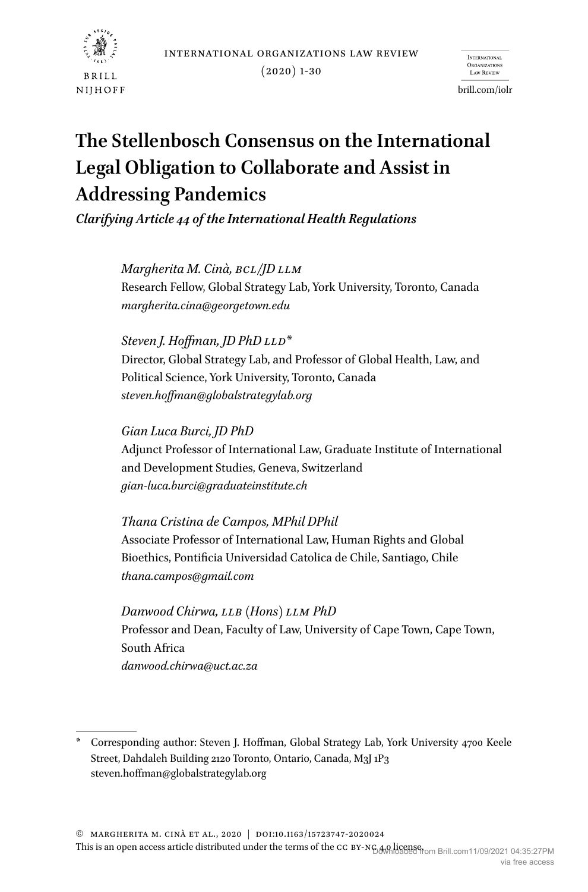international organizations law review



 $(2020)$  1-30

**INTERNATIONAL** Law REVIEW

brill.com/iolr

# **The Stellenbosch Consensus on the International Legal Obligation to Collaborate and Assist in Addressing Pandemics**

*Clarifying Article 44 of the International Health Regulations*

*Margherita M. Cinà, BCL/JD LLM* Research Fellow, Global Strategy Lab, York University, Toronto, Canada *margherita.cina@georgetown.edu*

*Steven J. Hoffman, JD PhD LLD*\* Director, Global Strategy Lab, and Professor of Global Health, Law, and Political Science, York University, Toronto, Canada *steven.hoffman@globalstrategylab.org*

*Gian Luca Burci, JD PhD* Adjunct Professor of International Law, Graduate Institute of International and Development Studies, Geneva, Switzerland *gian-luca.burci@graduateinstitute.ch*

*Thana Cristina de Campos, MPhil DPhil* Associate Professor of International Law, Human Rights and Global Bioethics, Pontificia Universidad Catolica de Chile, Santiago, Chile *thana.campos@gmail.com*

*Danwood Chirwa, LLB (Hons) LLM PhD* Professor and Dean, Faculty of Law, University of Cape Town, Cape Town, South Africa *danwood.chirwa@uct.ac.za*

© Margherita M. Cinà et al., 2020 | doi:10.1163/15723747-2020024

This is an open access article distributed under the terms of the CC BY-NG4,0,1098189 from Brill.com11/09/2021 04:35:27PM via free access

Corresponding author: Steven J. Hoffman, Global Strategy Lab, York University 4700 Keele Street, Dahdaleh Building 2120 Toronto, Ontario, Canada, M3J 1P3 steven.hoffman@globalstrategylab.org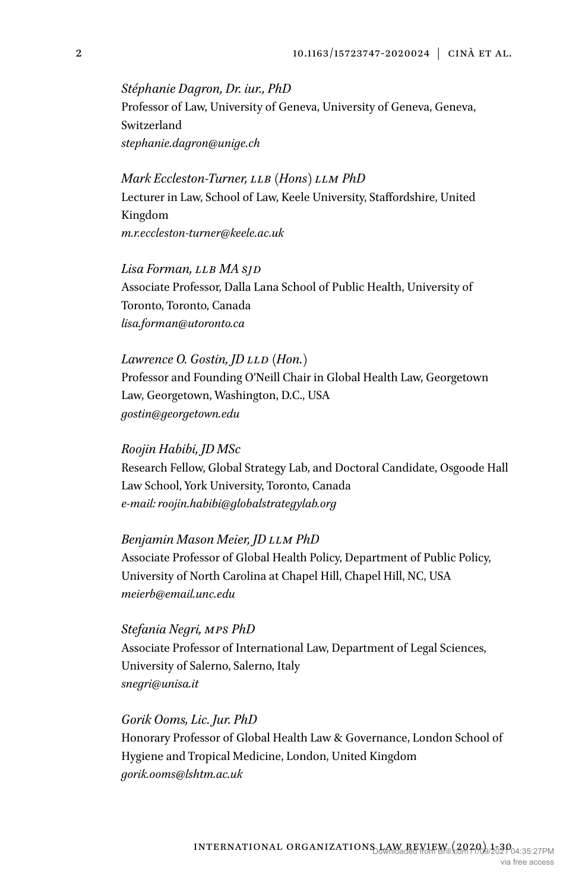*Stéphanie Dagron, Dr. iur., PhD* Professor of Law, University of Geneva, University of Geneva, Geneva, Switzerland *stephanie.dagron@unige.ch*

*Mark Eccleston-Turner, LLB (Hons) LLM PhD* Lecturer in Law, School of Law, Keele University, Staffordshire, United Kingdom *m.r.eccleston-turner@keele.ac.uk*

*Lisa Forman, LLB MA SJD* Associate Professor, Dalla Lana School of Public Health, University of Toronto, Toronto, Canada *lisa.forman@utoronto.ca*

#### *Lawrence O. Gostin, JD LLD (Hon.)*

Professor and Founding O'Neill Chair in Global Health Law, Georgetown Law, Georgetown, Washington, D.C., USA *gostin@georgetown.edu*

#### *Roojin Habibi, JD MSc*

Research Fellow, Global Strategy Lab, and Doctoral Candidate, Osgoode Hall Law School, York University, Toronto, Canada *e-mail: roojin.habibi@globalstrategylab.org*

## *Benjamin Mason Meier, JD LLM PhD*

Associate Professor of Global Health Policy, Department of Public Policy, University of North Carolina at Chapel Hill, Chapel Hill, NC, USA *meierb@email.unc.edu*

*Stefania Negri, MPS PhD* Associate Professor of International Law, Department of Legal Sciences, University of Salerno, Salerno, Italy *snegri@unisa.it*

*Gorik Ooms, Lic. Jur. PhD* Honorary Professor of Global Health Law & Governance, London School of Hygiene and Tropical Medicine, London, United Kingdom *gorik.ooms@lshtm.ac.uk*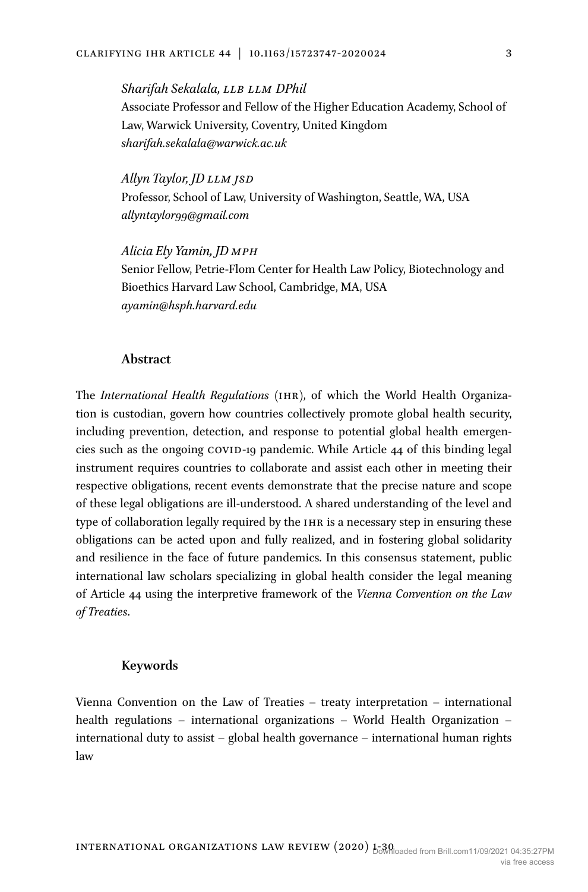*Sharifah Sekalala, LLB LLM DPhil* Associate Professor and Fellow of the Higher Education Academy, School of Law, Warwick University, Coventry, United Kingdom *sharifah.sekalala@warwick.ac.uk*

*Allyn Taylor, JD LLM JSD* Professor, School of Law, University of Washington, Seattle, WA, USA *allyntaylor99@gmail.com*

*Alicia Ely Yamin, JD MPH* Senior Fellow, Petrie-Flom Center for Health Law Policy, Biotechnology and Bioethics Harvard Law School, Cambridge, MA, USA *ayamin@hsph.harvard.edu*

## **Abstract**

The *International Health Regulations* (ihr), of which the World Health Organization is custodian, govern how countries collectively promote global health security, including prevention, detection, and response to potential global health emergencies such as the ongoing covid-19 pandemic. While Article 44 of this binding legal instrument requires countries to collaborate and assist each other in meeting their respective obligations, recent events demonstrate that the precise nature and scope of these legal obligations are ill-understood. A shared understanding of the level and type of collaboration legally required by the IHR is a necessary step in ensuring these obligations can be acted upon and fully realized, and in fostering global solidarity and resilience in the face of future pandemics. In this consensus statement, public international law scholars specializing in global health consider the legal meaning of Article 44 using the interpretive framework of the *Vienna Convention on the Law of Treaties*.

### **Keywords**

Vienna Convention on the Law of Treaties – treaty interpretation – international health regulations – international organizations – World Health Organization – international duty to assist – global health governance – international human rights law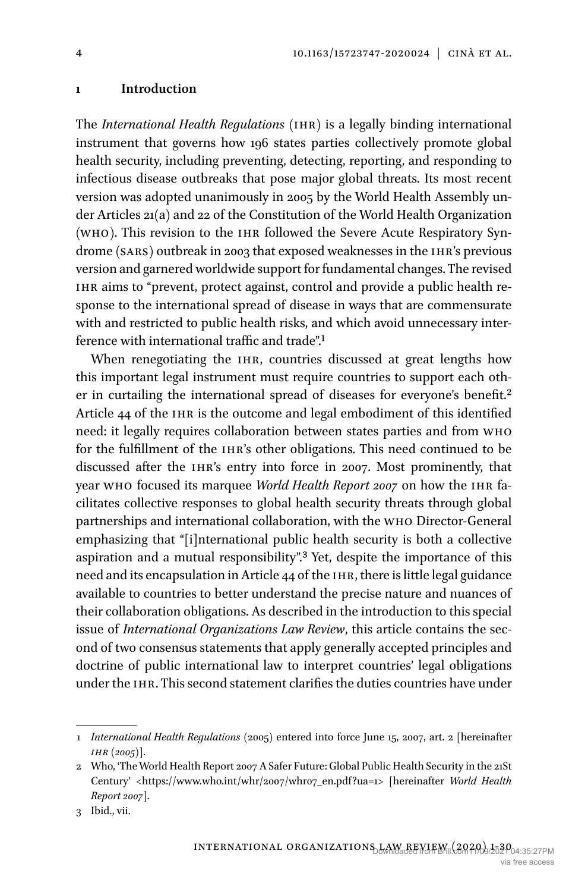#### **1 Introduction**

The *International Health Regulations* (IHR) is a legally binding international instrument that governs how 196 states parties collectively promote global health security, including preventing, detecting, reporting, and responding to infectious disease outbreaks that pose major global threats. Its most recent version was adopted unanimously in 2005 by the World Health Assembly under Articles 21(a) and 22 of the Constitution of the World Health Organization (who). This revision to the ihr followed the Severe Acute Respiratory Syndrome (sars) outbreak in 2003 that exposed weaknesses in the ihr's previous version and garnered worldwide support for fundamental changes. The revised IHR aims to "prevent, protect against, control and provide a public health response to the international spread of disease in ways that are commensurate with and restricted to public health risks, and which avoid unnecessary interference with international traffic and trade"[.1](#page-3-0)

When renegotiating the IHR, countries discussed at great lengths how this important legal instrument must require countries to support each oth-er in curtailing the international spread of diseases for everyone's benefit.<sup>[2](#page-3-1)</sup> Article 44 of the IHR is the outcome and legal embodiment of this identified need: it legally requires collaboration between states parties and from who for the fulfillment of the IHR's other obligations. This need continued to be discussed after the ihr's entry into force in 2007. Most prominently, that year who focused its marquee *World Health Report 2007* on how the ihr facilitates collective responses to global health security threats through global partnerships and international collaboration, with the who Director-General emphasizing that "[i]nternational public health security is both a collective aspiration and a mutual responsibility"[.3](#page-3-2) Yet, despite the importance of this need and its encapsulation in Article 44 of the IHR, there is little legal guidance available to countries to better understand the precise nature and nuances of their collaboration obligations. As described in the introduction to this special issue of *International Organizations Law Review*, this article contains the second of two consensus statements that apply generally accepted principles and doctrine of public international law to interpret countries' legal obligations under the ihr. This second statement clarifies the duties countries have under

4

<span id="page-3-0"></span><sup>1</sup> *International Health Regulations* (2005) entered into force June 15, 2007, art. 2 [hereinafter *ihr (2005)*].

<span id="page-3-1"></span><sup>2</sup> Who, 'The World Health Report 2007 A Safer Future: Global Public Health Security in the 21St Century' [<https://www.who.int/whr/2007/whr07\\_en.pdf?ua=1>](https://www.who.int/whr/2007/whr07_en.pdf?ua=1%3e) [hereinafter *World Health Report 2007*].

<span id="page-3-2"></span><sup>3</sup> [Ibid.](https://www.who.int/whr/2007/whr07_en.pdf?ua=1), vii.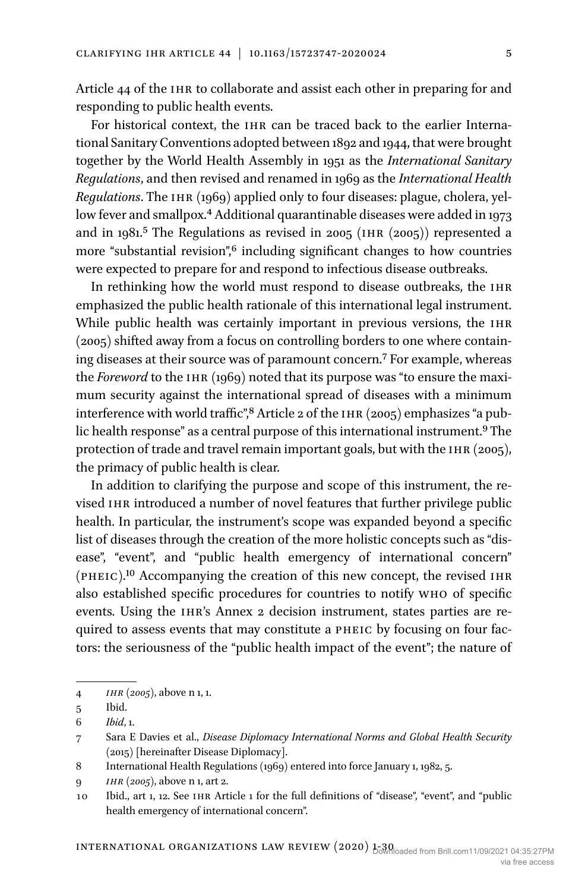Article 44 of the IHR to collaborate and assist each other in preparing for and responding to public health events.

For historical context, the IHR can be traced back to the earlier International Sanitary Conventions adopted between 1892 and 1944, that were brought together by the World Health Assembly in 1951 as the *International Sanitary Regulations*, and then revised and renamed in 1969 as the *International Health Regulations*. The IHR (1969) applied only to four diseases: plague, cholera, yellow fever and smallpox.<sup>4</sup> Additional quarantinable diseases were added in 1973 and in 1981.<sup>5</sup> The Regulations as revised in 200[5](#page-4-1) (IHR (2005)) represented a more "substantial revision",<sup>6</sup> including significant changes to how countries were expected to prepare for and respond to infectious disease outbreaks.

In rethinking how the world must respond to disease outbreaks, the IHR emphasized the public health rationale of this international legal instrument. While public health was certainly important in previous versions, the IHR (2005) shifted away from a focus on controlling borders to one where containing diseases at their source was of paramount concern.[7](#page-4-3) For example, whereas the *Foreword* to the IHR (1969) noted that its purpose was "to ensure the maximum security against the international spread of diseases with a minimum interference with world traffic",<sup>8</sup> Article 2 of the IHR (2005) emphasizes "a public health response" as a central purpose of this international instrument.<sup>9</sup> The protection of trade and travel remain important goals, but with the IHR (2005), the primacy of public health is clear.

In addition to clarifying the purpose and scope of this instrument, the revised IHR introduced a number of novel features that further privilege public health. In particular, the instrument's scope was expanded beyond a specific list of diseases through the creation of the more holistic concepts such as "disease", "event", and "public health emergency of international concern" (pheic)[.10](#page-4-6) Accompanying the creation of this new concept, the revised ihr also established specific procedures for countries to notify who of specific events. Using the IHR's Annex 2 decision instrument, states parties are required to assess events that may constitute a pheic by focusing on four factors: the seriousness of the "public health impact of the event"; the nature of

<span id="page-4-0"></span><sup>4</sup> *ihr (2005)*, above n 1, 1.

<span id="page-4-1"></span><sup>5</sup> Ibid.

<span id="page-4-2"></span><sup>6</sup> *Ibid*, 1.

<span id="page-4-3"></span><sup>7</sup> Sara E Davies et al., *Disease Diplomacy International Norms and Global Health Security* (2015) [hereinafter Disease Diplomacy].

<span id="page-4-4"></span><sup>8</sup> International Health Regulations (1969) entered into force January 1, 1982, 5.

<span id="page-4-5"></span><sup>9</sup> *ihr (2005)*, above n 1, art 2.

<span id="page-4-6"></span><sup>10</sup> Ibid., art 1, 12. See ihr Article 1 for the full definitions of "disease", "event", and "public health emergency of international concern".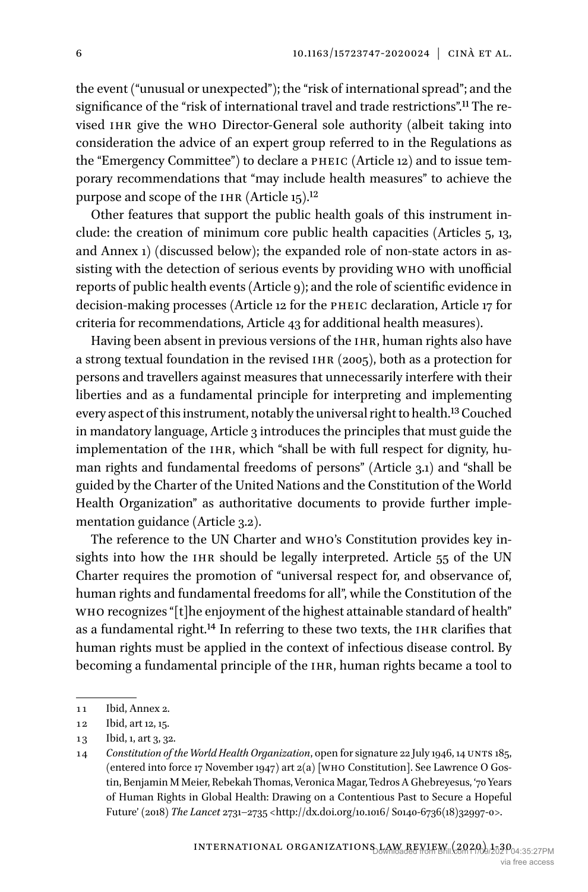the event ("unusual or unexpected"); the "risk of international spread"; and the significance of the "risk of international travel and trade restrictions"[.11](#page-5-0) The revised ihr give the who Director-General sole authority (albeit taking into consideration the advice of an expert group referred to in the Regulations as the "Emergency Committee") to declare a pheic (Article 12) and to issue temporary recommendations that "may include health measures" to achieve the purpose and scope of the IHR (Article 15).<sup>12</sup>

Other features that support the public health goals of this instrument include: the creation of minimum core public health capacities (Articles 5, 13, and Annex 1) (discussed below); the expanded role of non-state actors in assisting with the detection of serious events by providing who with unofficial reports of public health events (Article 9); and the role of scientific evidence in decision-making processes (Article 12 for the pheic declaration, Article 17 for criteria for recommendations, Article 43 for additional health measures).

Having been absent in previous versions of the IHR, human rights also have a strong textual foundation in the revised IHR (2005), both as a protection for persons and travellers against measures that unnecessarily interfere with their liberties and as a fundamental principle for interpreting and implementing every aspect of this instrument, notably the universal right to health.[13](#page-5-2) Couched in mandatory language, Article 3 introduces the principles that must guide the implementation of the IHR, which "shall be with full respect for dignity, human rights and fundamental freedoms of persons" (Article 3.1) and "shall be guided by the Charter of the United Nations and the Constitution of the World Health Organization" as authoritative documents to provide further implementation guidance (Article 3.2).

The reference to the UN Charter and who's Constitution provides key insights into how the IHR should be legally interpreted. Article 55 of the UN Charter requires the promotion of "universal respect for, and observance of, human rights and fundamental freedoms for all", while the Constitution of the who recognizes "[t]he enjoyment of the highest attainable standard of health" as a fundamental right.<sup>14</sup> In referring to these two texts, the IHR clarifies that human rights must be applied in the context of infectious disease control. By becoming a fundamental principle of the IHR, human rights became a tool to

<span id="page-5-0"></span><sup>11</sup> Ibid, Annex 2.

<span id="page-5-1"></span><sup>12</sup> Ibid, art 12, 15.

<span id="page-5-2"></span><sup>13</sup> Ibid, 1, art 3, 32.

<span id="page-5-3"></span><sup>14</sup> *Constitution of the World Health Organization*, open for signature 22 July 1946, 14 unts 185, (entered into force 17 November 1947) art 2(a) [who Constitution]. See Lawrence O Gostin, Benjamin M Meier, Rebekah Thomas, Veronica Magar, Tedros A Ghebreyesus, '70 Years of Human Rights in Global Health: Drawing on a Contentious Past to Secure a Hopeful Future' (2018) *The Lancet* 2731–2735 [<http://dx.doi.org/10.1016/](http://dx.doi.org/10.1016/) S0140-6736(18)32997-0>.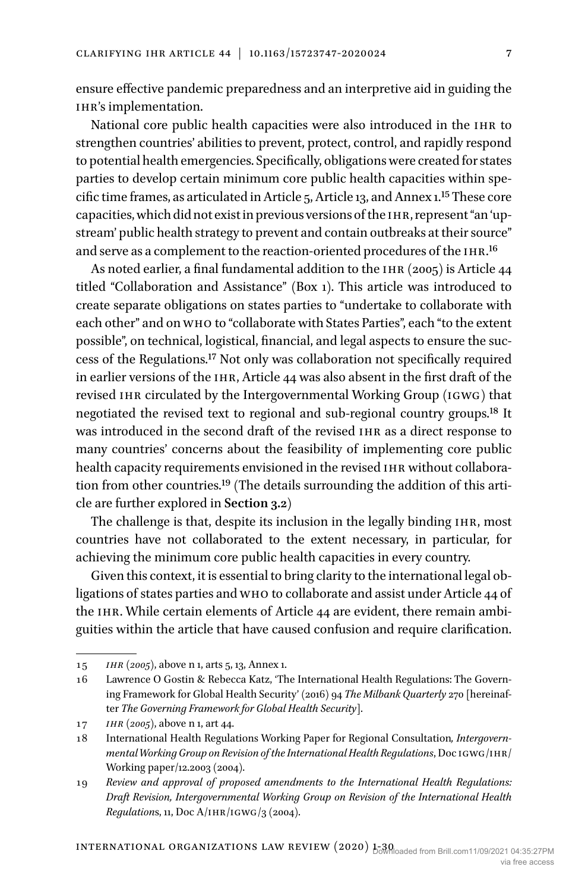ensure effective pandemic preparedness and an interpretive aid in guiding the ihr's implementation.

National core public health capacities were also introduced in the IHR to strengthen countries' abilities to prevent, protect, control, and rapidly respond to potential health emergencies. Specifically, obligations were created for states parties to develop certain minimum core public health capacities within specific time frames, as articulated in Article 5, Article 13, and Annex 1.[15](#page-6-0) These core capacities, which did not exist in previous versions of the ihr, represent "an 'upstream' public health strategy to prevent and contain outbreaks at their source" and serve as a complement to the reaction-oriented procedures of the IHR.<sup>[16](#page-6-1)</sup>

As noted earlier, a final fundamental addition to the IHR (2005) is Article  $44$ titled "Collaboration and Assistance" (Box 1). This article was introduced to create separate obligations on states parties to "undertake to collaborate with each other" and on who to "collaborate with States Parties", each "to the extent possible", on technical, logistical, financial, and legal aspects to ensure the success of the Regulations.[17](#page-6-2) Not only was collaboration not specifically required in earlier versions of the ihr, Article 44 was also absent in the first draft of the revised IHR circulated by the Intergovernmental Working Group (IGWG) that negotiated the revised text to regional and sub-regional country groups[.18](#page-6-3) It was introduced in the second draft of the revised IHR as a direct response to many countries' concerns about the feasibility of implementing core public health capacity requirements envisioned in the revised IHR without collaboration from other countries.[19](#page-6-4) (The details surrounding the addition of this article are further explored in **Section 3.2**)

The challenge is that, despite its inclusion in the legally binding IHR, most countries have not collaborated to the extent necessary, in particular, for achieving the minimum core public health capacities in every country.

Given this context, it is essential to bring clarity to the international legal obligations of states parties and who to collaborate and assist under Article 44 of the IHR. While certain elements of Article 44 are evident, there remain ambiguities within the article that have caused confusion and require clarification.

<span id="page-6-0"></span><sup>15</sup> *ihr (2005)*, above n 1, arts 5, 13, Annex 1.

<span id="page-6-1"></span><sup>16</sup> Lawrence O Gostin & Rebecca Katz, 'The International Health Regulations: The Governing Framework for Global Health Security' (2016) 94 *The Milbank Quarterly* 270 [hereinafter *The Governing Framework for Global Health Security*].

<span id="page-6-2"></span><sup>17</sup> *ihr (2005)*, above n 1, art 44.

<span id="page-6-3"></span><sup>18</sup> International Health Regulations Working Paper for Regional Consultation*, Intergovernmental Working Group on Revision of the International Health Regulations*, Doc IGWG/IHR/ Working paper/12.2003 (2004).

<span id="page-6-4"></span><sup>19</sup> *Review and approval of proposed amendments to the International Health Regulations: Draft Revision, Intergovernmental Working Group on Revision of the International Health Regulations, 11, Doc A/IHR/IGWG/3 (2004).*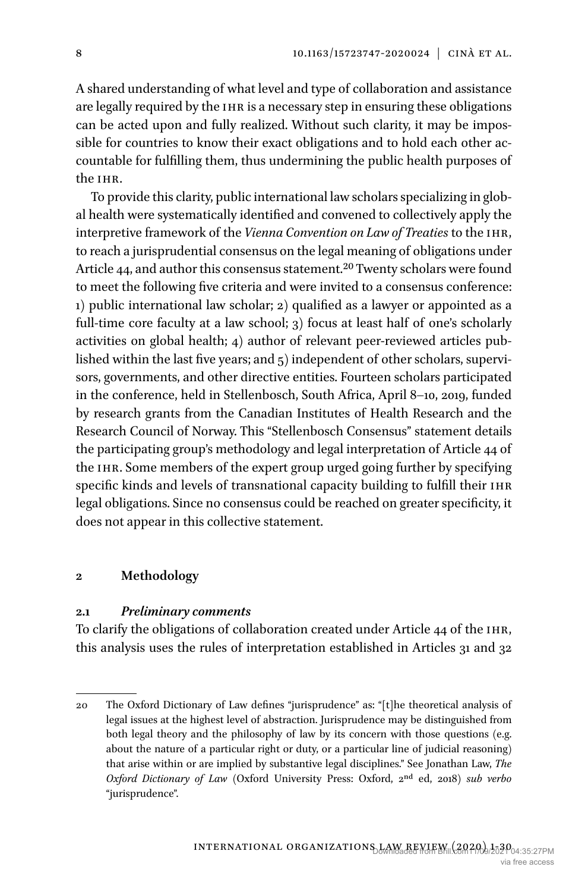A shared understanding of what level and type of collaboration and assistance are legally required by the IHR is a necessary step in ensuring these obligations can be acted upon and fully realized. Without such clarity, it may be impossible for countries to know their exact obligations and to hold each other accountable for fulfilling them, thus undermining the public health purposes of the ihr.

To provide this clarity, public international law scholars specializing in global health were systematically identified and convened to collectively apply the interpretive framework of the *Vienna Convention on Law of Treaties* to the ihr, to reach a jurisprudential consensus on the legal meaning of obligations under Article 44, and author this consensus statement.<sup>20</sup> Twenty scholars were found to meet the following five criteria and were invited to a consensus conference: 1) public international law scholar; 2) qualified as a lawyer or appointed as a full-time core faculty at a law school; 3) focus at least half of one's scholarly activities on global health; 4) author of relevant peer-reviewed articles published within the last five years; and 5) independent of other scholars, supervisors, governments, and other directive entities. Fourteen scholars participated in the conference, held in Stellenbosch, South Africa, April 8–10, 2019, funded by research grants from the Canadian Institutes of Health Research and the Research Council of Norway. This "Stellenbosch Consensus" statement details the participating group's methodology and legal interpretation of Article 44 of the ihr. Some members of the expert group urged going further by specifying specific kinds and levels of transnational capacity building to fulfill their IHR legal obligations. Since no consensus could be reached on greater specificity, it does not appear in this collective statement.

#### **2 Methodology**

#### **2.1** *Preliminary comments*

To clarify the obligations of collaboration created under Article 44 of the IHR, this analysis uses the rules of interpretation established in Articles 31 and 32

<span id="page-7-0"></span><sup>20</sup> The Oxford Dictionary of Law defines "jurisprudence" as: "[t]he theoretical analysis of legal issues at the highest level of abstraction. Jurisprudence may be distinguished from both legal theory and the philosophy of law by its concern with those questions (e.g. about the nature of a particular right or duty, or a particular line of judicial reasoning) that arise within or are implied by substantive legal disciplines." See Jonathan Law, *The Oxford Dictionary of Law* (Oxford University Press: Oxford, 2nd ed, 2018) *sub verbo* "jurisprudence".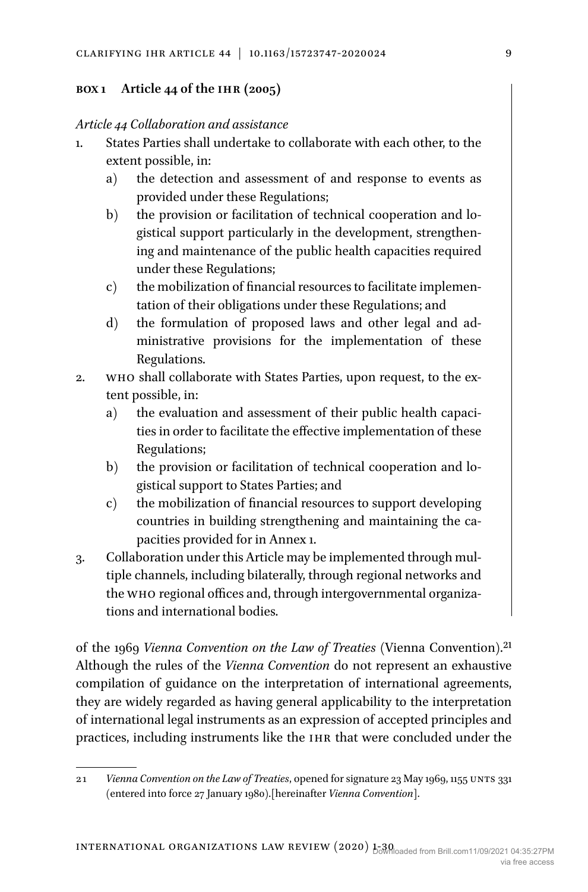## **Box 1 Article 44 of the ihr (2005)**

## *Article 44 Collaboration and assistance*

- 1. States Parties shall undertake to collaborate with each other, to the extent possible, in:
	- a) the detection and assessment of and response to events as provided under these Regulations;
	- b) the provision or facilitation of technical cooperation and logistical support particularly in the development, strengthening and maintenance of the public health capacities required under these Regulations;
	- c) the mobilization of financial resources to facilitate implementation of their obligations under these Regulations; and
	- d) the formulation of proposed laws and other legal and administrative provisions for the implementation of these Regulations.
- 2. who shall collaborate with States Parties, upon request, to the extent possible, in:
	- a) the evaluation and assessment of their public health capacities in order to facilitate the effective implementation of these Regulations;
	- b) the provision or facilitation of technical cooperation and logistical support to States Parties; and
	- c) the mobilization of financial resources to support developing countries in building strengthening and maintaining the capacities provided for in Annex 1.
- 3. Collaboration under this Article may be implemented through multiple channels, including bilaterally, through regional networks and the who regional offices and, through intergovernmental organizations and international bodies.

of the 1969 *Vienna Convention on the Law of Treaties* (Vienna Convention)[.21](#page-8-0) Although the rules of the *Vienna Convention* do not represent an exhaustive compilation of guidance on the interpretation of international agreements, they are widely regarded as having general applicability to the interpretation of international legal instruments as an expression of accepted principles and practices, including instruments like the IHR that were concluded under the

<span id="page-8-0"></span><sup>21</sup> *Vienna Convention on the Law of Treaties*, opened for signature 23 May 1969, 1155 unts 331 (entered into force 27 January 1980).[hereinafter *Vienna Convention*].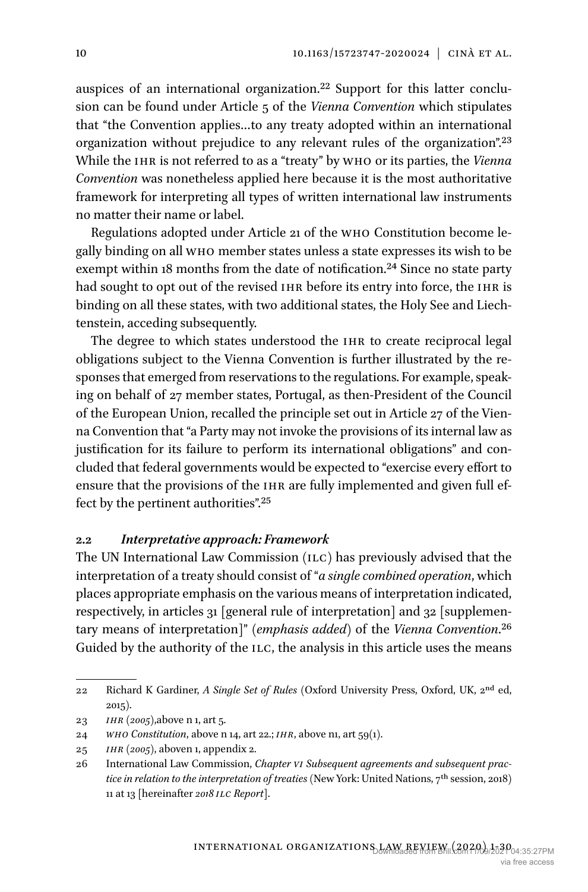auspices of an international organization[.22](#page-9-0) Support for this latter conclusion can be found under Article 5 of the *Vienna Convention* which stipulates that "the Convention applies…to any treaty adopted within an international organization without prejudice to any relevant rules of the organization"[.23](#page-9-1) While the IHR is not referred to as a "treaty" by WHO or its parties, the *Vienna Convention* was nonetheless applied here because it is the most authoritative framework for interpreting all types of written international law instruments no matter their name or label.

Regulations adopted under Article 21 of the who Constitution become legally binding on all who member states unless a state expresses its wish to be exempt within 18 months from the date of notification.<sup>24</sup> Since no state party had sought to opt out of the revised IHR before its entry into force, the IHR is binding on all these states, with two additional states, the Holy See and Liechtenstein, acceding subsequently.

The degree to which states understood the IHR to create reciprocal legal obligations subject to the Vienna Convention is further illustrated by the responses that emerged from reservations to the regulations. For example, speaking on behalf of 27 member states, Portugal, as then-President of the Council of the European Union, recalled the principle set out in Article 27 of the Vienna Convention that "a Party may not invoke the provisions of its internal law as justification for its failure to perform its international obligations" and concluded that federal governments would be expected to "exercise every effort to ensure that the provisions of the IHR are fully implemented and given full effect by the pertinent authorities"[.25](#page-9-3)

#### **2.2** *Interpretative approach: Framework*

The UN International Law Commission (ILC) has previously advised that the interpretation of a treaty should consist of "*a single combined operation*, which places appropriate emphasis on the various means of interpretation indicated, respectively, in articles 31 [general rule of interpretation] and 32 [supplementary means of interpretation]" (*emphasis added*) of the *Vienna Convention*.[26](#page-9-4) Guided by the authority of the ILC, the analysis in this article uses the means

<span id="page-9-0"></span><sup>22</sup> Richard K Gardiner, *A Single Set of Rules* (Oxford University Press, Oxford, UK, 2nd ed, 2015).

<span id="page-9-1"></span><sup>23</sup> *ihr (2005)*,above n 1, art 5.

<span id="page-9-2"></span><sup>24</sup> *who Constitution*, above n 14, art 22.; *ihr*, above n1, art 59(1).

<span id="page-9-3"></span><sup>25</sup> *ihr (2005)*, aboven 1, appendix 2.

<span id="page-9-4"></span><sup>26</sup> International Law Commission, *Chapter vi Subsequent agreements and subsequent practice in relation to the interpretation of treaties* (New York: United Nations, 7th session, 2018) 11 at 13 [hereinafter *2018 ilc Report*].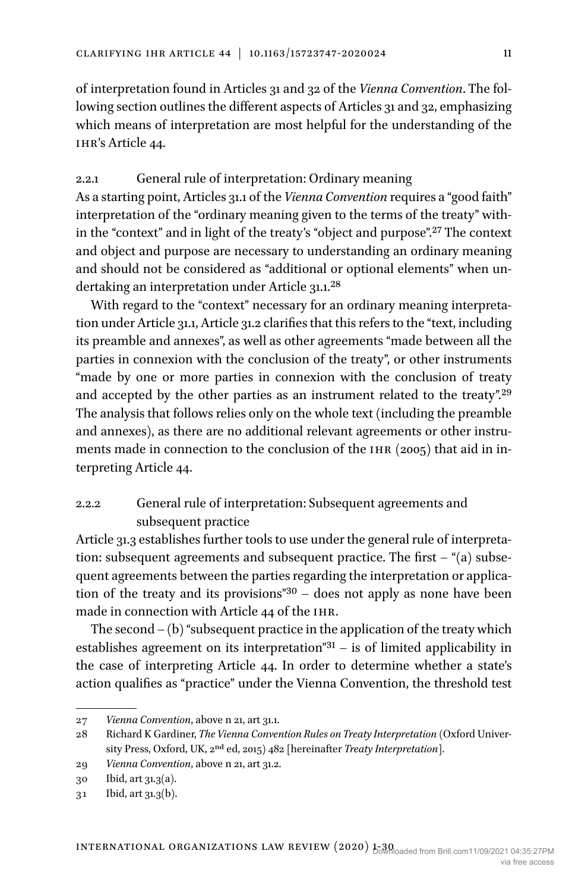of interpretation found in Articles 31 and 32 of the *Vienna Convention*. The following section outlines the different aspects of Articles 31 and 32, emphasizing which means of interpretation are most helpful for the understanding of the ihr's Article 44.

## 2.2.1 General rule of interpretation: Ordinary meaning

As a starting point, Articles 31.1 of the *Vienna Convention* requires a "good faith" interpretation of the "ordinary meaning given to the terms of the treaty" within the "context" and in light of the treaty's "object and purpose"[.27](#page-10-0) The context and object and purpose are necessary to understanding an ordinary meaning and should not be considered as "additional or optional elements" when undertaking an interpretation under Article 31.1[.28](#page-10-1)

With regard to the "context" necessary for an ordinary meaning interpretation under Article 31.1, Article 31.2 clarifies that this refers to the "text, including its preamble and annexes", as well as other agreements "made between all the parties in connexion with the conclusion of the treaty", or other instruments "made by one or more parties in connexion with the conclusion of treaty and accepted by the other parties as an instrument related to the treaty".[29](#page-10-2) The analysis that follows relies only on the whole text (including the preamble and annexes), as there are no additional relevant agreements or other instruments made in connection to the conclusion of the  $IHR(2005)$  that aid in interpreting Article 44.

# 2.2.2 General rule of interpretation: Subsequent agreements and subsequent practice

Article 31.3 establishes further tools to use under the general rule of interpretation: subsequent agreements and subsequent practice. The first  $-$  "(a) subsequent agreements between the parties regarding the interpretation or application of the treaty and its provisions" $30 -$  does not apply as none have been made in connection with Article 44 of the IHR.

The second  $-(b)$  "subsequent practice in the application of the treaty which establishes agreement on its interpretation" $31 -$  is of limited applicability in the case of interpreting Article 44. In order to determine whether a state's action qualifies as "practice" under the Vienna Convention, the threshold test

<span id="page-10-0"></span><sup>27</sup> *Vienna Convention*, above n 21, art 31.1.

<span id="page-10-1"></span><sup>28</sup> Richard K Gardiner, *The Vienna Convention Rules on Treaty Interpretation* (Oxford University Press, Oxford, UK, 2nd ed, 2015) 482 [hereinafter *Treaty Interpretation*].

<span id="page-10-2"></span><sup>29</sup> *Vienna Convention*, above n 21, art 31.2.

<span id="page-10-3"></span><sup>30</sup> Ibid, art 31.3(a).

<span id="page-10-4"></span><sup>31</sup> Ibid, art 31.3(b).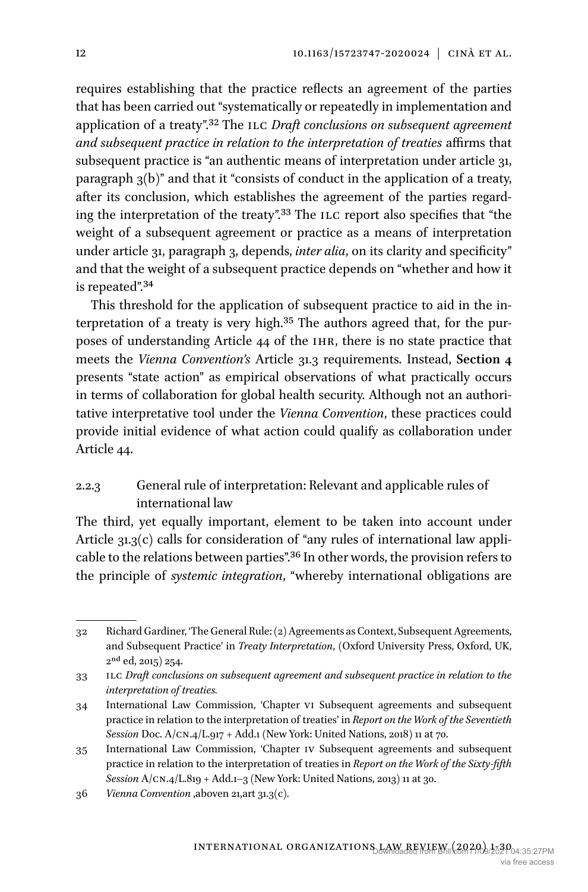requires establishing that the practice reflects an agreement of the parties that has been carried out "systematically or repeatedly in implementation and application of a treaty"[.32](#page-11-0) The ilc *Draft conclusions on subsequent agreement and subsequent practice in relation to the interpretation of treaties* affirms that subsequent practice is "an authentic means of interpretation under article 31, paragraph 3(b)" and that it "consists of conduct in the application of a treaty, after its conclusion, which establishes the agreement of the parties regarding the interpretation of the treaty".<sup>33</sup> The ILC report also specifies that "the weight of a subsequent agreement or practice as a means of interpretation under article 31, paragraph 3, depends, *inter alia*, on its clarity and specificity" and that the weight of a subsequent practice depends on "whether and how it is repeated"[.34](#page-11-2)

This threshold for the application of subsequent practice to aid in the interpretation of a treaty is very high.[35](#page-11-3) The authors agreed that, for the purposes of understanding Article 44 of the ihr, there is no state practice that meets the *Vienna Convention's* Article 31.3 requirements. Instead, **Section 4** presents "state action" as empirical observations of what practically occurs in terms of collaboration for global health security. Although not an authoritative interpretative tool under the *Vienna Convention*, these practices could provide initial evidence of what action could qualify as collaboration under Article 44.

# 2.2.3 General rule of interpretation: Relevant and applicable rules of international law

The third, yet equally important, element to be taken into account under Article 31.3(c) calls for consideration of "any rules of international law applicable to the relations between parties"[.36](#page-11-4) In other words, the provision refers to the principle of *systemic integration*, "whereby international obligations are

<span id="page-11-0"></span><sup>32</sup> Richard Gardiner, 'The General Rule: (2) Agreements as Context, Subsequent Agreements, and Subsequent Practice' in *Treaty Interpretation*, (Oxford University Press, Oxford, UK,  $2<sup>nd</sup>$  ed, 2015) 254.

<span id="page-11-1"></span><sup>33</sup> ilc *Draft conclusions on subsequent agreement and subsequent practice in relation to the interpretation of treaties.*

<span id="page-11-2"></span><sup>34</sup> International Law Commission, 'Chapter vi Subsequent agreements and subsequent practice in relation to the interpretation of treaties' in *Report on the Work of the Seventieth Session* Doc. A/cn.4/L.917 + Add.1 (New York: United Nations, 2018) 11 at 70.

<span id="page-11-3"></span><sup>35</sup> International Law Commission, 'Chapter iv Subsequent agreements and subsequent practice in relation to the interpretation of treaties in *Report on the Work of the Sixty-fifth Session* A/cn.4/L.819 + Add.1–3 (New York: United Nations, 2013) 11 at 30.

<span id="page-11-4"></span><sup>36</sup> *Vienna Convention* ,aboven 21,art 31.3(c).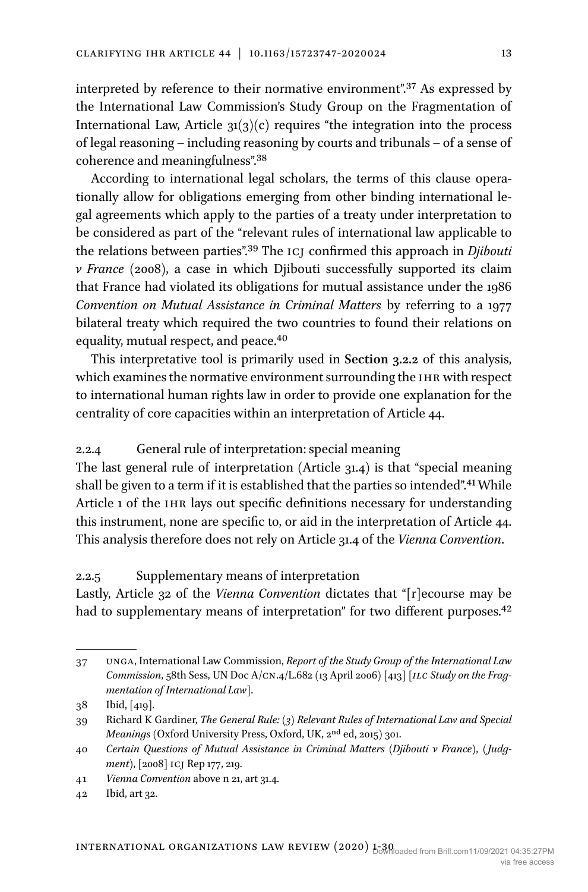interpreted by reference to their normative environment".[37](#page-12-0) As expressed by the International Law Commission's Study Group on the Fragmentation of International Law, Article  $31(3)(c)$  requires "the integration into the process of legal reasoning – including reasoning by courts and tribunals – of a sense of coherence and meaningfulness".[38](#page-12-1)

According to international legal scholars, the terms of this clause operationally allow for obligations emerging from other binding international legal agreements which apply to the parties of a treaty under interpretation to be considered as part of the "relevant rules of international law applicable to the relations between parties"[.39](#page-12-2) The icj confirmed this approach in *Djibouti v France* (2008), a case in which Djibouti successfully supported its claim that France had violated its obligations for mutual assistance under the 1986 *Convention on Mutual Assistance in Criminal Matters* by referring to a 1977 bilateral treaty which required the two countries to found their relations on equality, mutual respect, and peace.<sup>[40](#page-12-3)</sup>

This interpretative tool is primarily used in **Section 3.2.2** of this analysis, which examines the normative environment surrounding the IHR with respect to international human rights law in order to provide one explanation for the centrality of core capacities within an interpretation of Article 44.

#### 2.2.4 General rule of interpretation: special meaning

The last general rule of interpretation (Article 31.4) is that "special meaning shall be given to a term if it is established that the parties so intended".[41](#page-12-4) While Article 1 of the IHR lays out specific definitions necessary for understanding this instrument, none are specific to, or aid in the interpretation of Article 44. This analysis therefore does not rely on Article 31.4 of the *Vienna Convention*.

## 2.2.5 Supplementary means of interpretation

Lastly, Article 32 of the *Vienna Convention* dictates that "[r]ecourse may be had to supplementary means of interpretation" for two different purposes.<sup>[42](#page-12-5)</sup>

<span id="page-12-0"></span><sup>37</sup> unga, International Law Commission, *Report of the Study Group of the International Law Commission*, 58th Sess, UN Doc A/cn.4/L.682 (13 April 2006) [413] *[ilc Study on the Fragmentation of International Law*].

<span id="page-12-1"></span><sup>38</sup> Ibid, [419].

<span id="page-12-2"></span><sup>39</sup> Richard K Gardiner, *The General Rule: (3) Relevant Rules of International Law and Special Meanings* (Oxford University Press, Oxford, UK, 2nd ed, 2015) 301.

<span id="page-12-3"></span><sup>40</sup> *Certain Questions of Mutual Assistance in Criminal Matters (Djibouti v France)*, *( Judgment)*, [2008] icj Rep 177, 219.

<span id="page-12-4"></span><sup>41</sup> *Vienna Convention* above n 21, art 31.4.

<span id="page-12-5"></span><sup>42</sup> Ibid, art 32.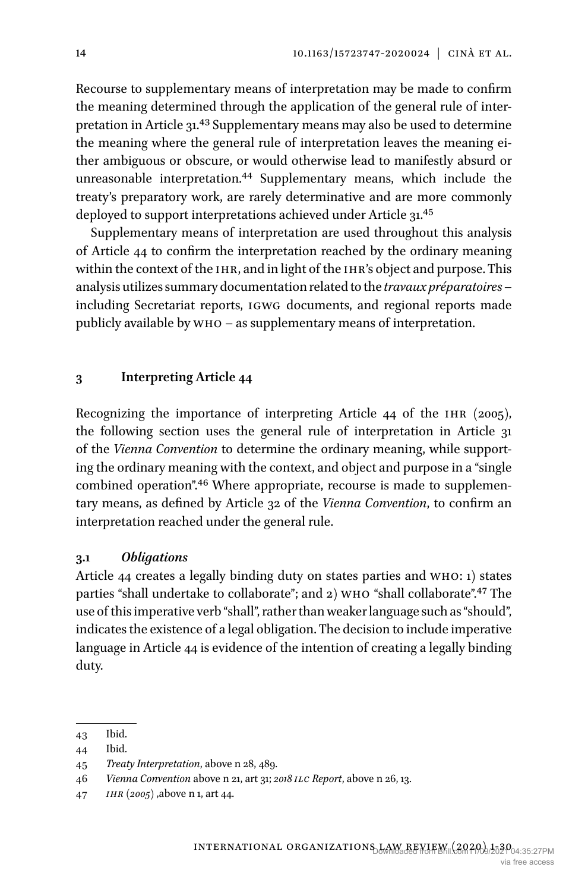Recourse to supplementary means of interpretation may be made to confirm the meaning determined through the application of the general rule of interpretation in Article 31.<sup>43</sup> Supplementary means may also be used to determine the meaning where the general rule of interpretation leaves the meaning either ambiguous or obscure, or would otherwise lead to manifestly absurd or unreasonable interpretation.[44](#page-13-1) Supplementary means, which include the treaty's preparatory work, are rarely determinative and are more commonly deployed to support interpretations achieved under Article 31.<sup>45</sup>

Supplementary means of interpretation are used throughout this analysis of Article 44 to confirm the interpretation reached by the ordinary meaning within the context of the IHR, and in light of the IHR's object and purpose. This analysis utilizes summary documentation related to the *travaux préparatoires* – including Secretariat reports, igwg documents, and regional reports made publicly available by who – as supplementary means of interpretation.

## **3 Interpreting Article 44**

Recognizing the importance of interpreting Article 44 of the IHR (2005), the following section uses the general rule of interpretation in Article 31 of the *Vienna Convention* to determine the ordinary meaning, while supporting the ordinary meaning with the context, and object and purpose in a "single combined operation".[46](#page-13-3) Where appropriate, recourse is made to supplementary means, as defined by Article 32 of the *Vienna Convention*, to confirm an interpretation reached under the general rule.

#### **3.1** *Obligations*

Article 44 creates a legally binding duty on states parties and who: 1) states parties "shall undertake to collaborate"; and 2) WHO "shall collaborate".<sup>[47](#page-13-4)</sup> The use of this imperative verb "shall", rather than weaker language such as "should", indicates the existence of a legal obligation. The decision to include imperative language in Article 44 is evidence of the intention of creating a legally binding duty.

<span id="page-13-0"></span><sup>43</sup> Ibid.

<span id="page-13-1"></span><sup>44</sup> Ibid.

<span id="page-13-2"></span><sup>45</sup> *Treaty Interpretation*, above n 28, 489.

<span id="page-13-3"></span><sup>46</sup> *Vienna Convention* above n 21, art 31; *2018 ilc Report*, above n 26, 13.

<span id="page-13-4"></span><sup>47</sup> *ihr (2005)* ,above n 1, art 44.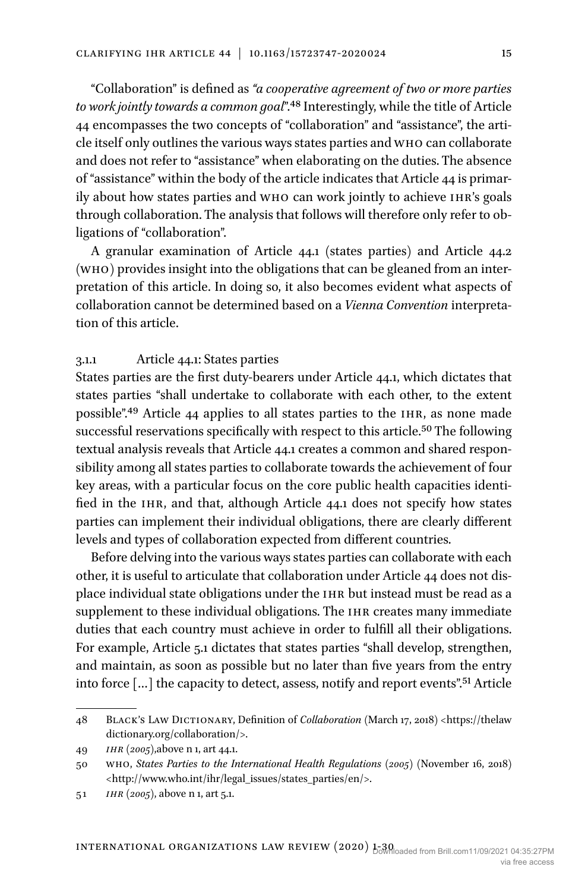"Collaboration" is defined as *"a cooperative agreement of two or more parties to work jointly towards a common goal*".[48](#page-14-0) Interestingly, while the title of Article 44 encompasses the two concepts of "collaboration" and "assistance", the article itself only outlines the various ways states parties and who can collaborate and does not refer to "assistance" when elaborating on the duties. The absence of "assistance" within the body of the article indicates that Article 44 is primarily about how states parties and who can work jointly to achieve ihr's goals through collaboration. The analysis that follows will therefore only refer to obligations of "collaboration".

A granular examination of Article 44.1 (states parties) and Article 44.2 (who) provides insight into the obligations that can be gleaned from an interpretation of this article. In doing so, it also becomes evident what aspects of collaboration cannot be determined based on a *Vienna Convention* interpretation of this article.

## 3.1.1 Article 44.1: States parties

States parties are the first duty-bearers under Article 44.1, which dictates that states parties "shall undertake to collaborate with each other, to the extent possible"[.49](#page-14-1) Article 44 applies to all states parties to the ihr, as none made successful reservations specifically with respect to this article[.50](#page-14-2) The following textual analysis reveals that Article 44.1 creates a common and shared responsibility among all states parties to collaborate towards the achievement of four key areas, with a particular focus on the core public health capacities identified in the IHR, and that, although Article 44.1 does not specify how states parties can implement their individual obligations, there are clearly different levels and types of collaboration expected from different countries.

Before delving into the various ways states parties can collaborate with each other, it is useful to articulate that collaboration under Article 44 does not displace individual state obligations under the IHR but instead must be read as a supplement to these individual obligations. The IHR creates many immediate duties that each country must achieve in order to fulfill all their obligations. For example, Article 5.1 dictates that states parties "shall develop, strengthen, and maintain, as soon as possible but no later than five years from the entry into force […] the capacity to detect, assess, notify and report events".[51](#page-14-3) Article

<span id="page-14-0"></span><sup>48</sup> Black's Law Dictionary, Definition of *Collaboration* (March 17, 2018) <[https://thelaw](https://thelawdictionary.org/collaboration/%3e) [dictionary.org/collaboration/>.](https://thelawdictionary.org/collaboration/%3e)

<span id="page-14-1"></span><sup>49</sup> *ihr (2005)*,above n 1, art 44.1.

<span id="page-14-2"></span><sup>50</sup> who, *States Parties to the International Health Regulations (2005)* (November 16, 2018) <[http://www.who.int/ihr/legal\\_issues/states\\_parties/en/>](http://www.who.int/ihr/legal_issues/states_parties/en/%3e).

<span id="page-14-3"></span><sup>51</sup> *ihr (2005)*, above n 1, art 5.1.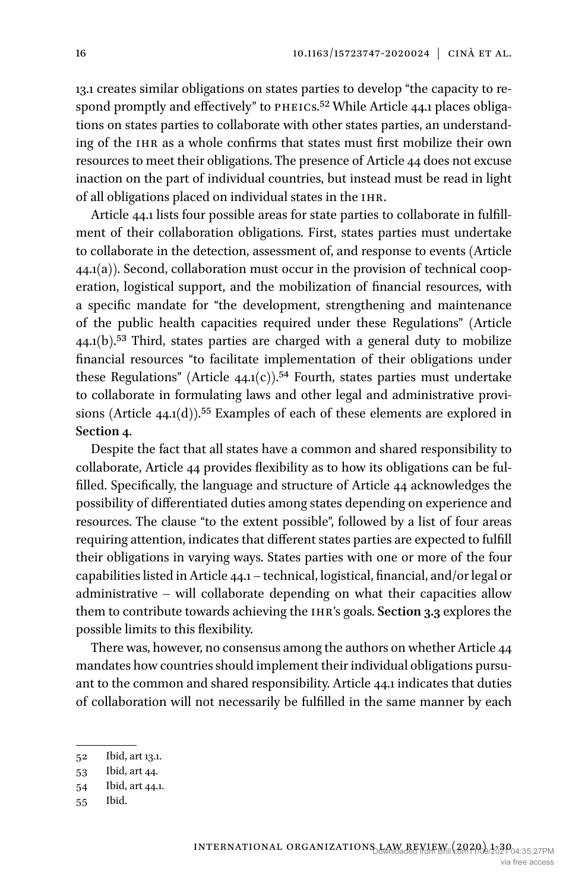13.1 creates similar obligations on states parties to develop "the capacity to respond promptly and effectively" to PHEICS.<sup>52</sup> While Article 44.1 places obligations on states parties to collaborate with other states parties, an understanding of the IHR as a whole confirms that states must first mobilize their own resources to meet their obligations. The presence of Article 44 does not excuse inaction on the part of individual countries, but instead must be read in light of all obligations placed on individual states in the ihr.

Article 44.1 lists four possible areas for state parties to collaborate in fulfillment of their collaboration obligations. First, states parties must undertake to collaborate in the detection, assessment of, and response to events (Article  $44.1(a)$ ). Second, collaboration must occur in the provision of technical cooperation, logistical support, and the mobilization of financial resources, with a specific mandate for "the development, strengthening and maintenance of the public health capacities required under these Regulations" (Article  $44.1(b)$ <sup>53</sup> Third, states parties are charged with a general duty to mobilize financial resources "to facilitate implementation of their obligations under these Regulations" (Article 44.1(c)).<sup>54</sup> Fourth, states parties must undertake to collaborate in formulating laws and other legal and administrative provisions (Article  $44.1(d)$ ).<sup>55</sup> Examples of each of these elements are explored in **Section 4**.

Despite the fact that all states have a common and shared responsibility to collaborate, Article 44 provides flexibility as to how its obligations can be fulfilled. Specifically, the language and structure of Article 44 acknowledges the possibility of differentiated duties among states depending on experience and resources. The clause "to the extent possible", followed by a list of four areas requiring attention, indicates that different states parties are expected to fulfill their obligations in varying ways. States parties with one or more of the four capabilities listed in Article 44.1 – technical, logistical, financial, and/or legal or administrative – will collaborate depending on what their capacities allow them to contribute towards achieving the ihr's goals. **Section 3.3** explores the possible limits to this flexibility.

There was, however, no consensus among the authors on whether Article 44 mandates how countries should implement their individual obligations pursuant to the common and shared responsibility. Article 44.1 indicates that duties of collaboration will not necessarily be fulfilled in the same manner by each

<span id="page-15-0"></span><sup>52</sup> Ibid, art 13.1.

<span id="page-15-1"></span><sup>53</sup> Ibid, art 44.

<span id="page-15-2"></span><sup>54</sup> Ibid, art 44.1.

<span id="page-15-3"></span><sup>55</sup> Ibid.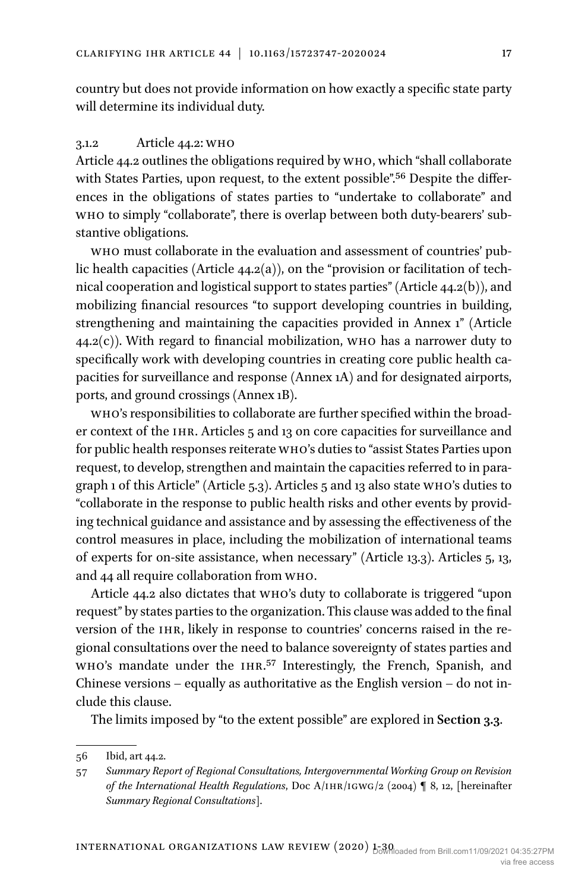country but does not provide information on how exactly a specific state party will determine its individual duty.

## 3.1.2 Article 44.2: who

Article 44.2 outlines the obligations required by who, which "shall collaborate with States Parties, upon request, to the extent possible".[56](#page-16-0) Despite the differences in the obligations of states parties to "undertake to collaborate" and who to simply "collaborate", there is overlap between both duty-bearers' substantive obligations.

who must collaborate in the evaluation and assessment of countries' public health capacities (Article  $44.2(a)$ ), on the "provision or facilitation of technical cooperation and logistical support to states parties" (Article 44.2(b)), and mobilizing financial resources "to support developing countries in building, strengthening and maintaining the capacities provided in Annex 1" (Article  $(44.2(c))$ . With regard to financial mobilization, who has a narrower duty to specifically work with developing countries in creating core public health capacities for surveillance and response (Annex 1A) and for designated airports, ports, and ground crossings (Annex 1B).

who's responsibilities to collaborate are further specified within the broader context of the IHR. Articles 5 and 13 on core capacities for surveillance and for public health responses reiterate who's duties to "assist States Parties upon request, to develop, strengthen and maintain the capacities referred to in paragraph 1 of this Article" (Article 5.3). Articles 5 and 13 also state who's duties to "collaborate in the response to public health risks and other events by providing technical guidance and assistance and by assessing the effectiveness of the control measures in place, including the mobilization of international teams of experts for on-site assistance, when necessary" (Article 13.3). Articles 5, 13, and 44 all require collaboration from who.

Article 44.2 also dictates that who's duty to collaborate is triggered "upon request" by states parties to the organization. This clause was added to the final version of the ihr, likely in response to countries' concerns raised in the regional consultations over the need to balance sovereignty of states parties and who's mandate under the ihr.[57](#page-16-1) Interestingly, the French, Spanish, and Chinese versions – equally as authoritative as the English version – do not include this clause.

The limits imposed by "to the extent possible" are explored in **Section 3.3**.

<span id="page-16-0"></span><sup>56</sup> Ibid, art 44.2.

<span id="page-16-1"></span><sup>57</sup> *Summary Report of Regional Consultations, Intergovernmental Working Group on Revision of the International Health Regulations*, Doc A/IHR/IGWG/2 (2004) ¶ 8, 12, [hereinafter *Summary Regional Consultations*].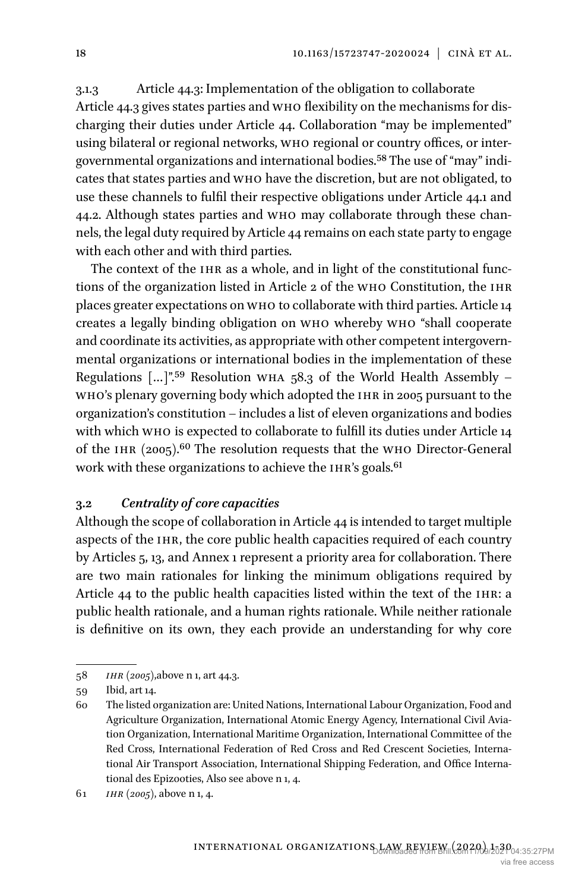3.1.3 Article 44.3: Implementation of the obligation to collaborate Article 44.3 gives states parties and who flexibility on the mechanisms for discharging their duties under Article 44. Collaboration "may be implemented" using bilateral or regional networks, who regional or country offices, or intergovernmental organizations and international bodies.[58](#page-17-0) The use of "may" indicates that states parties and who have the discretion, but are not obligated, to use these channels to fulfil their respective obligations under Article 44.1 and 44.2. Although states parties and who may collaborate through these channels, the legal duty required by Article 44 remains on each state party to engage with each other and with third parties.

The context of the IHR as a whole, and in light of the constitutional functions of the organization listed in Article 2 of the who Constitution, the ihr places greater expectations on who to collaborate with third parties. Article 14 creates a legally binding obligation on who whereby who "shall cooperate and coordinate its activities, as appropriate with other competent intergovernmental organizations or international bodies in the implementation of these Regulations  $\left[ \ldots \right]$ ".<sup>59</sup> Resolution WHA 58.3 of the World Health Assembly – WHO's plenary governing body which adopted the IHR in 2005 pursuant to the organization's constitution – includes a list of eleven organizations and bodies with which who is expected to collaborate to fulfill its duties under Article 14 of the IHR  $(2005)$ .<sup>60</sup> The resolution requests that the WHO Director-General work with these organizations to achieve the IHR's goals.<sup>61</sup>

## **3.2** *Centrality of core capacities*

Although the scope of collaboration in Article 44 is intended to target multiple aspects of the IHR, the core public health capacities required of each country by Articles 5, 13, and Annex 1 represent a priority area for collaboration. There are two main rationales for linking the minimum obligations required by Article 44 to the public health capacities listed within the text of the IHR: a public health rationale, and a human rights rationale. While neither rationale is definitive on its own, they each provide an understanding for why core

<span id="page-17-0"></span><sup>58</sup> *ihr (2005)*,above n 1, art 44.3.

<span id="page-17-1"></span><sup>59</sup> Ibid, art 14.

<span id="page-17-2"></span><sup>60</sup> The listed organization are: United Nations, International Labour Organization, Food and Agriculture Organization, International Atomic Energy Agency, International Civil Aviation Organization, International Maritime Organization, International Committee of the Red Cross, International Federation of Red Cross and Red Crescent Societies, International Air Transport Association, International Shipping Federation, and Office International des Epizooties, Also see above n 1, 4.

<span id="page-17-3"></span><sup>61</sup> *ihr (2005)*, above n 1, 4.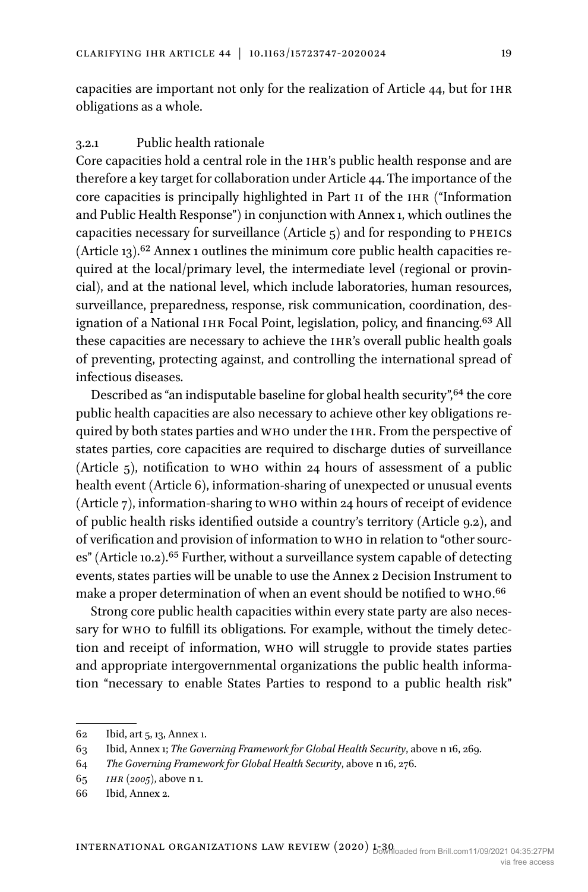capacities are important not only for the realization of Article 44, but for ihr obligations as a whole.

#### 3.2.1 Public health rationale

Core capacities hold a central role in the IHR's public health response and are therefore a key target for collaboration under Article 44. The importance of the core capacities is principally highlighted in Part ii of the ihr ("Information and Public Health Response") in conjunction with Annex 1, which outlines the capacities necessary for surveillance (Article  $_5$ ) and for responding to PHEICS (Article 13).[62](#page-18-0) Annex 1 outlines the minimum core public health capacities required at the local/primary level, the intermediate level (regional or provincial), and at the national level, which include laboratories, human resources, surveillance, preparedness, response, risk communication, coordination, designation of a National IHR Focal Point, legislation, policy, and financing.<sup>63</sup> All these capacities are necessary to achieve the ihr's overall public health goals of preventing, protecting against, and controlling the international spread of infectious diseases.

Described as "an indisputable baseline for global health security", <sup>64</sup> the core public health capacities are also necessary to achieve other key obligations required by both states parties and WHO under the IHR. From the perspective of states parties, core capacities are required to discharge duties of surveillance (Article 5), notification to who within 24 hours of assessment of a public health event (Article 6), information-sharing of unexpected or unusual events (Article 7), information-sharing to who within 24 hours of receipt of evidence of public health risks identified outside a country's territory (Article 9.2), and of verification and provision of information to who in relation to "other sources" (Article 10.2).<sup>65</sup> Further, without a surveillance system capable of detecting events, states parties will be unable to use the Annex 2 Decision Instrument to make a proper determination of when an event should be notified to who[.66](#page-18-4)

Strong core public health capacities within every state party are also necessary for who to fulfill its obligations. For example, without the timely detection and receipt of information, who will struggle to provide states parties and appropriate intergovernmental organizations the public health information "necessary to enable States Parties to respond to a public health risk"

<span id="page-18-0"></span><sup>62</sup> Ibid, art 5, 13, Annex 1.

<span id="page-18-1"></span><sup>63</sup> Ibid, Annex 1; *The Governing Framework for Global Health Security*, above n 16, 269.

<span id="page-18-2"></span><sup>64</sup> *The Governing Framework for Global Health Security*, above n 16, 276.

<span id="page-18-3"></span><sup>65</sup> *ihr (2005)*, above n 1.

<span id="page-18-4"></span><sup>66</sup> Ibid, Annex 2.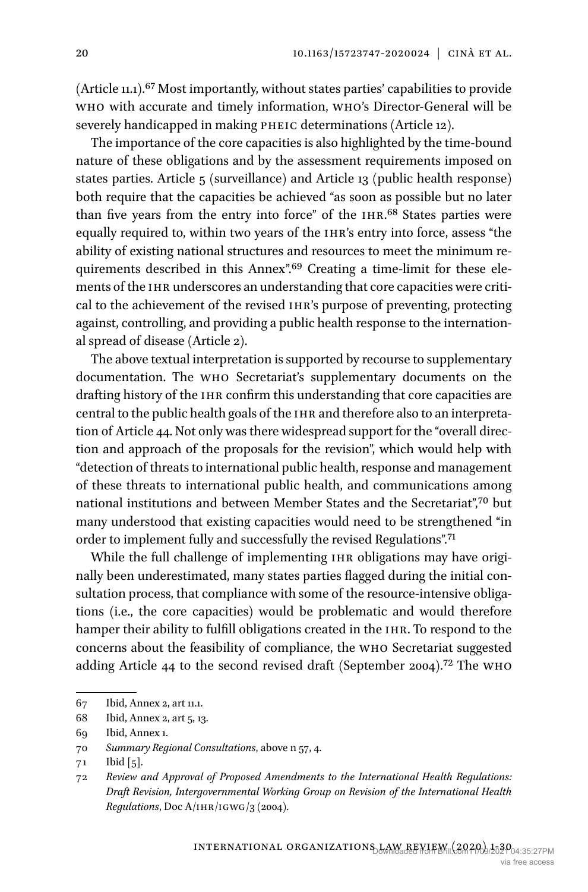(Article 11.1)[.67](#page-19-0) Most importantly, without states parties' capabilities to provide who with accurate and timely information, who's Director-General will be severely handicapped in making PHEIC determinations (Article 12).

The importance of the core capacities is also highlighted by the time-bound nature of these obligations and by the assessment requirements imposed on states parties. Article 5 (surveillance) and Article 13 (public health response) both require that the capacities be achieved "as soon as possible but no later than five years from the entry into force" of the ihr[.68](#page-19-1) States parties were equally required to, within two years of the ihr's entry into force, assess "the ability of existing national structures and resources to meet the minimum requirements described in this Annex".<sup>69</sup> Creating a time-limit for these elements of the IHR underscores an understanding that core capacities were critical to the achievement of the revised ihr's purpose of preventing, protecting against, controlling, and providing a public health response to the international spread of disease (Article 2).

The above textual interpretation is supported by recourse to supplementary documentation. The who Secretariat's supplementary documents on the drafting history of the IHR confirm this understanding that core capacities are central to the public health goals of the IHR and therefore also to an interpretation of Article 44. Not only was there widespread support for the "overall direction and approach of the proposals for the revision", which would help with "detection of threats to international public health, response and management of these threats to international public health, and communications among national institutions and between Member States and the Secretariat",<sup>70</sup> but many understood that existing capacities would need to be strengthened "in order to implement fully and successfully the revised Regulations"[.71](#page-19-4)

While the full challenge of implementing IHR obligations may have originally been underestimated, many states parties flagged during the initial consultation process, that compliance with some of the resource-intensive obligations (i.e., the core capacities) would be problematic and would therefore hamper their ability to fulfill obligations created in the IHR. To respond to the concerns about the feasibility of compliance, the who Secretariat suggested adding Article 44 to the second revised draft (September 2004)[.72](#page-19-5) The who

<span id="page-19-0"></span><sup>67</sup> Ibid, Annex 2, art 11.1.

<span id="page-19-1"></span><sup>68</sup> Ibid, Annex 2, art 5, 13.

<span id="page-19-2"></span><sup>69</sup> Ibid, Annex 1.

<span id="page-19-3"></span><sup>70</sup> *Summary Regional Consultations*, above n 57, 4.

<span id="page-19-4"></span><sup>71</sup> Ibid [5].

<span id="page-19-5"></span><sup>72</sup> *Review and Approval of Proposed Amendments to the International Health Regulations: Draft Revision, Intergovernmental Working Group on Revision of the International Health Regulations*, Doc A/IHR/IGWG/3 (2004).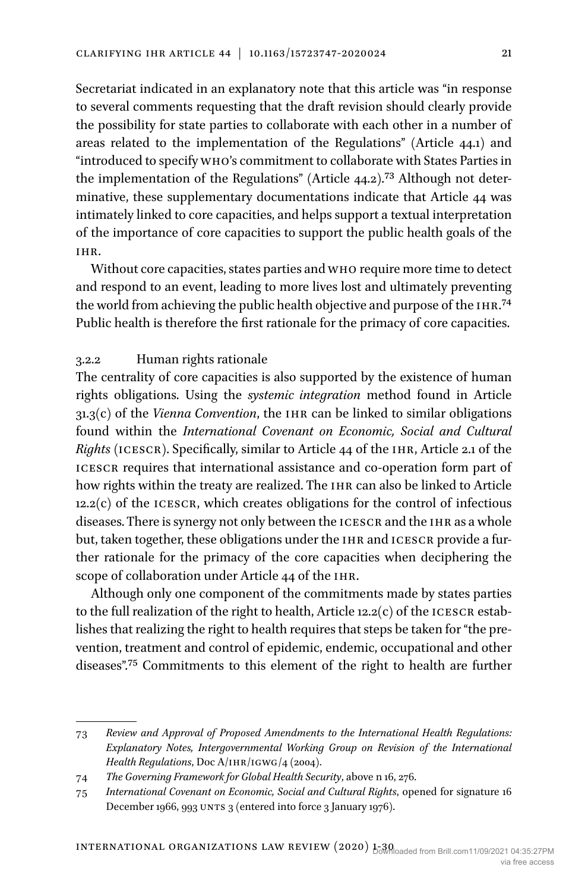Secretariat indicated in an explanatory note that this article was "in response to several comments requesting that the draft revision should clearly provide the possibility for state parties to collaborate with each other in a number of areas related to the implementation of the Regulations" (Article 44.1) and "introduced to specify who's commitment to collaborate with States Parties in the implementation of the Regulations" (Article 44.2).[73](#page-20-0) Although not determinative, these supplementary documentations indicate that Article 44 was intimately linked to core capacities, and helps support a textual interpretation of the importance of core capacities to support the public health goals of the ihr.

Without core capacities, states parties and who require more time to detect and respond to an event, leading to more lives lost and ultimately preventing the world from achieving the public health objective and purpose of the IHR.<sup>74</sup> Public health is therefore the first rationale for the primacy of core capacities.

## 3.2.2 Human rights rationale

The centrality of core capacities is also supported by the existence of human rights obligations. Using the *systemic integration* method found in Article 31.3(c) of the *Vienna Convention*, the IHR can be linked to similar obligations found within the *International Covenant on Economic, Social and Cultural Rights* (icescr). Specifically, similar to Article 44 of the ihr, Article 2.1 of the icescr requires that international assistance and co-operation form part of how rights within the treaty are realized. The IHR can also be linked to Article  $12.2(c)$  of the ICESCR, which creates obligations for the control of infectious diseases. There is synergy not only between the ICESCR and the IHR as a whole but, taken together, these obligations under the IHR and ICESCR provide a further rationale for the primacy of the core capacities when deciphering the scope of collaboration under Article 44 of the IHR.

Although only one component of the commitments made by states parties to the full realization of the right to health, Article 12.2(c) of the ICESCR establishes that realizing the right to health requires that steps be taken for "the prevention, treatment and control of epidemic, endemic, occupational and other diseases".[75](#page-20-2) Commitments to this element of the right to health are further

<span id="page-20-0"></span><sup>73</sup> *Review and Approval of Proposed Amendments to the International Health Regulations: Explanatory Notes, Intergovernmental Working Group on Revision of the International Health Regulations*, Doc A/IHR/IGWG/4 (2004).

<span id="page-20-1"></span><sup>74</sup> *The Governing Framework for Global Health Security*, above n 16, 276.

<span id="page-20-2"></span><sup>75</sup> *International Covenant on Economic, Social and Cultural Rights*, opened for signature 16 December 1966, 993 UNTS 3 (entered into force 3 January 1976).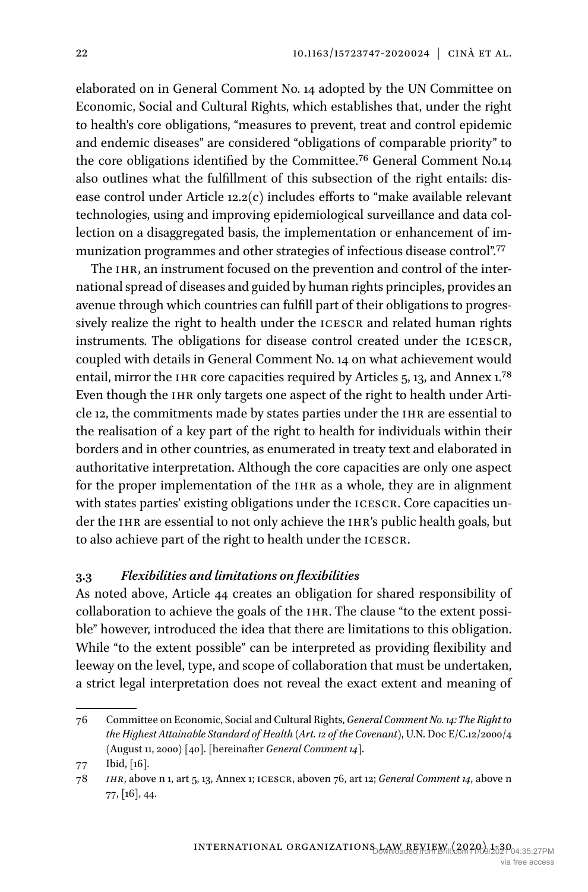elaborated on in General Comment No. 14 adopted by the UN Committee on Economic, Social and Cultural Rights, which establishes that, under the right to health's core obligations, "measures to prevent, treat and control epidemic and endemic diseases" are considered "obligations of comparable priority" to the core obligations identified by the Committee.[76](#page-21-0) General Comment No.14 also outlines what the fulfillment of this subsection of the right entails: disease control under Article 12.2(c) includes efforts to "make available relevant technologies, using and improving epidemiological surveillance and data collection on a disaggregated basis, the implementation or enhancement of im-munization programmes and other strategies of infectious disease control".<sup>[77](#page-21-1)</sup>

The IHR, an instrument focused on the prevention and control of the international spread of diseases and guided by human rights principles, provides an avenue through which countries can fulfill part of their obligations to progressively realize the right to health under the ICESCR and related human rights instruments. The obligations for disease control created under the ICESCR, coupled with details in General Comment No. 14 on what achievement would entail, mirror the IHR core capacities required by Articles  $5, 13, 3$  and Annex 1.<sup>78</sup> Even though the IHR only targets one aspect of the right to health under Article 12, the commitments made by states parties under the IHR are essential to the realisation of a key part of the right to health for individuals within their borders and in other countries, as enumerated in treaty text and elaborated in authoritative interpretation. Although the core capacities are only one aspect for the proper implementation of the IHR as a whole, they are in alignment with states parties' existing obligations under the ICESCR. Core capacities under the IHR are essential to not only achieve the IHR's public health goals, but to also achieve part of the right to health under the icescr.

## **3.3** *Flexibilities and limitations on flexibilities*

As noted above, Article 44 creates an obligation for shared responsibility of collaboration to achieve the goals of the ihr. The clause "to the extent possible" however, introduced the idea that there are limitations to this obligation. While "to the extent possible" can be interpreted as providing flexibility and leeway on the level, type, and scope of collaboration that must be undertaken, a strict legal interpretation does not reveal the exact extent and meaning of

<span id="page-21-0"></span><sup>76</sup> Committee on Economic, Social and Cultural Rights, *General Comment No. 14: The Right to the Highest Attainable Standard of Health (Art. 12 of the Covenant)*, U.N. Doc E/C.12/2000/4 (August 11, 2000) [40]. [hereinafter *General Comment 14*].

<span id="page-21-1"></span><sup>77</sup> Ibid, [16].

<span id="page-21-2"></span><sup>78</sup> *ihr*, above n 1, art 5, 13, Annex 1; icescr, aboven 76, art 12; *General Comment 14*, above n 77, [16], 44.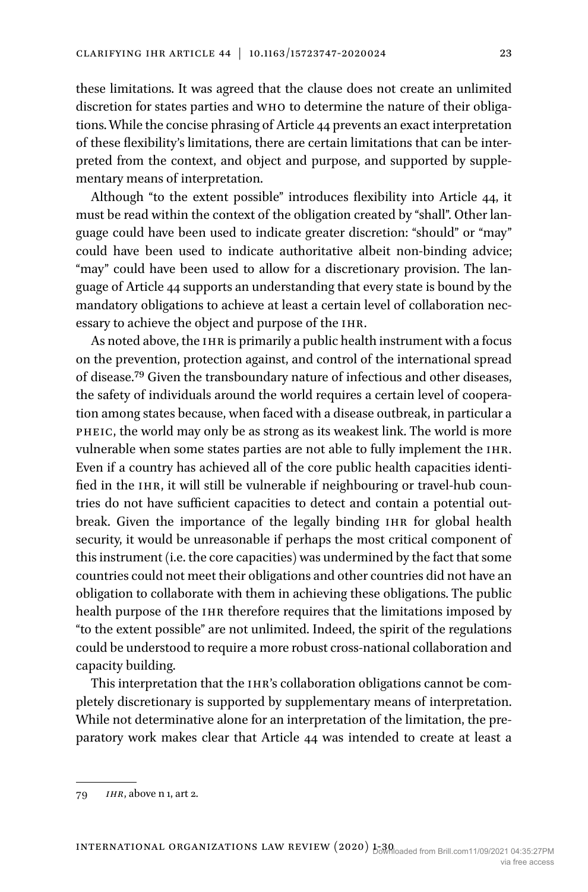these limitations. It was agreed that the clause does not create an unlimited discretion for states parties and who to determine the nature of their obligations. While the concise phrasing of Article 44 prevents an exact interpretation of these flexibility's limitations, there are certain limitations that can be interpreted from the context, and object and purpose, and supported by supplementary means of interpretation.

Although "to the extent possible" introduces flexibility into Article 44, it must be read within the context of the obligation created by "shall". Other language could have been used to indicate greater discretion: "should" or "may" could have been used to indicate authoritative albeit non-binding advice; "may" could have been used to allow for a discretionary provision. The language of Article 44 supports an understanding that every state is bound by the mandatory obligations to achieve at least a certain level of collaboration necessary to achieve the object and purpose of the ihr.

As noted above, the IHR is primarily a public health instrument with a focus on the prevention, protection against, and control of the international spread of disease[.79](#page-22-0) Given the transboundary nature of infectious and other diseases, the safety of individuals around the world requires a certain level of cooperation among states because, when faced with a disease outbreak, in particular a pheic, the world may only be as strong as its weakest link. The world is more vulnerable when some states parties are not able to fully implement the ihr. Even if a country has achieved all of the core public health capacities identified in the IHR, it will still be vulnerable if neighbouring or travel-hub countries do not have sufficient capacities to detect and contain a potential outbreak. Given the importance of the legally binding IHR for global health security, it would be unreasonable if perhaps the most critical component of this instrument (i.e. the core capacities) was undermined by the fact that some countries could not meet their obligations and other countries did not have an obligation to collaborate with them in achieving these obligations. The public health purpose of the IHR therefore requires that the limitations imposed by "to the extent possible" are not unlimited. Indeed, the spirit of the regulations could be understood to require a more robust cross-national collaboration and capacity building.

This interpretation that the IHR's collaboration obligations cannot be completely discretionary is supported by supplementary means of interpretation. While not determinative alone for an interpretation of the limitation, the preparatory work makes clear that Article 44 was intended to create at least a

<span id="page-22-0"></span><sup>79</sup> *ihr*, above n 1, art 2.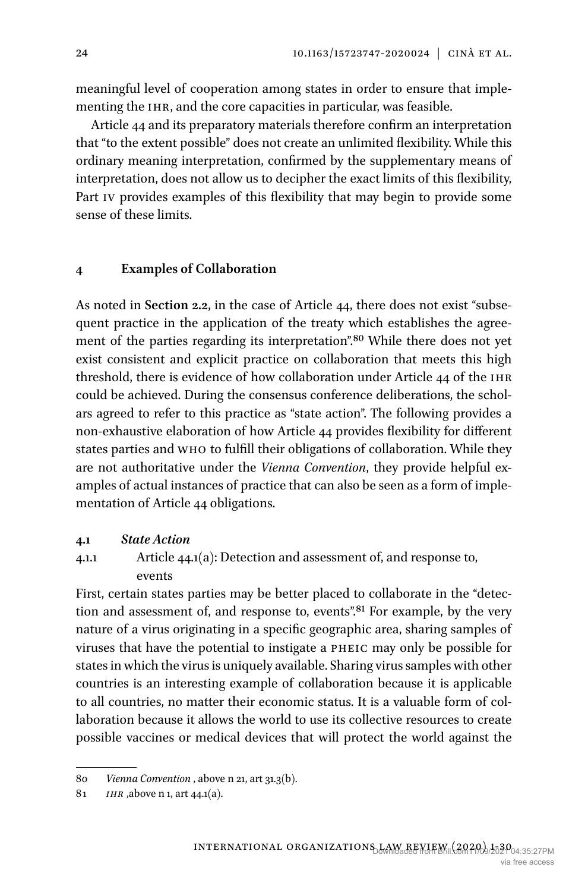meaningful level of cooperation among states in order to ensure that implementing the IHR, and the core capacities in particular, was feasible.

Article 44 and its preparatory materials therefore confirm an interpretation that "to the extent possible" does not create an unlimited flexibility. While this ordinary meaning interpretation, confirmed by the supplementary means of interpretation, does not allow us to decipher the exact limits of this flexibility, Part iv provides examples of this flexibility that may begin to provide some sense of these limits.

## **4 Examples of Collaboration**

As noted in **Section 2.2**, in the case of Article 44, there does not exist "subsequent practice in the application of the treaty which establishes the agreement of the parties regarding its interpretation"[.80](#page-23-0) While there does not yet exist consistent and explicit practice on collaboration that meets this high threshold, there is evidence of how collaboration under Article 44 of the ihr could be achieved. During the consensus conference deliberations, the scholars agreed to refer to this practice as "state action". The following provides a non-exhaustive elaboration of how Article 44 provides flexibility for different states parties and who to fulfill their obligations of collaboration. While they are not authoritative under the *Vienna Convention*, they provide helpful examples of actual instances of practice that can also be seen as a form of implementation of Article 44 obligations.

#### **4.1** *State Action*

# 4.1.1 Article 44.1(a): Detection and assessment of, and response to, events

First, certain states parties may be better placed to collaborate in the "detection and assessment of, and response to, events".<sup>81</sup> For example, by the very nature of a virus originating in a specific geographic area, sharing samples of viruses that have the potential to instigate a pheic may only be possible for states in which the virus is uniquely available. Sharing virus samples with other countries is an interesting example of collaboration because it is applicable to all countries, no matter their economic status. It is a valuable form of collaboration because it allows the world to use its collective resources to create possible vaccines or medical devices that will protect the world against the

<span id="page-23-0"></span><sup>80</sup> *Vienna Convention* , above n 21, art 31.3(b).

<span id="page-23-1"></span><sup>81</sup> *ihr* ,above n 1, art 44.1(a).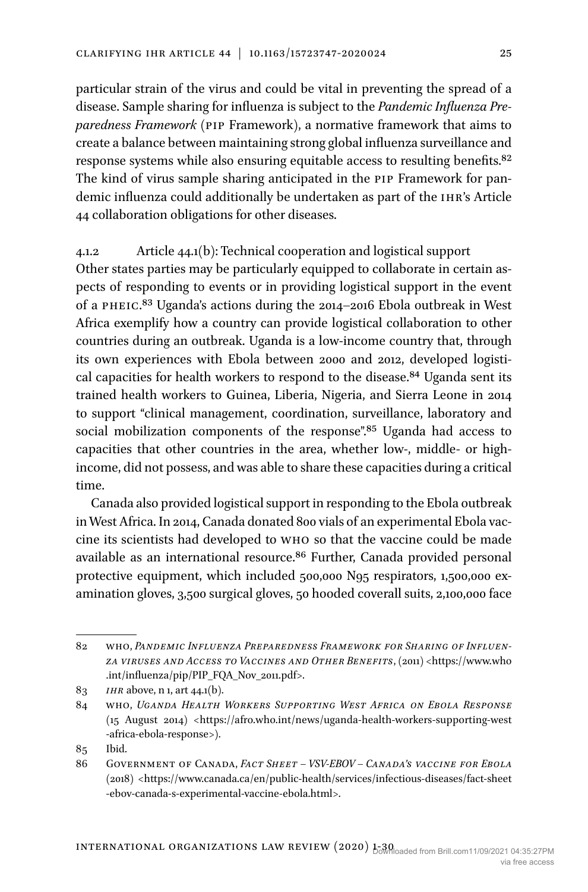particular strain of the virus and could be vital in preventing the spread of a disease. Sample sharing for influenza is subject to the *Pandemic Influenza Preparedness Framework* (pip Framework), a normative framework that aims to create a balance between maintaining strong global influenza surveillance and response systems while also ensuring equitable access to resulting benefits.[82](#page-24-0) The kind of virus sample sharing anticipated in the pip Framework for pandemic influenza could additionally be undertaken as part of the ihr's Article 44 collaboration obligations for other diseases.

4.1.2 Article 44.1(b): Technical cooperation and logistical support Other states parties may be particularly equipped to collaborate in certain aspects of responding to events or in providing logistical support in the event of a pheic[.83](#page-24-1) Uganda's actions during the 2014–2016 Ebola outbreak in West Africa exemplify how a country can provide logistical collaboration to other countries during an outbreak. Uganda is a low-income country that, through its own experiences with Ebola between 2000 and 2012, developed logistical capacities for health workers to respond to the disease.<sup>84</sup> Uganda sent its trained health workers to Guinea, Liberia, Nigeria, and Sierra Leone in 2014 to support "clinical management, coordination, surveillance, laboratory and social mobilization components of the response".<sup>85</sup> Uganda had access to capacities that other countries in the area, whether low-, middle- or highincome, did not possess, and was able to share these capacities during a critical time.

Canada also provided logistical support in responding to the Ebola outbreak in West Africa. In 2014, Canada donated 800 vials of an experimental Ebola vaccine its scientists had developed to who so that the vaccine could be made available as an international resource.<sup>86</sup> Further, Canada provided personal protective equipment, which included 500,000 N95 respirators, 1,500,000 examination gloves, 3,500 surgical gloves, 50 hooded coverall suits, 2,100,000 face

- <span id="page-24-3"></span>85 Ibid.
- <span id="page-24-4"></span>86 Government of Canada, *Fact Sheet – VSV-EBOV – Canada's vaccine for Ebola* (2018) <[https://www.canada.ca/en/public-health/services/infectious-diseases/fact-sheet](https://www.canada.ca/en/public-health/services/infectious-diseases/fact-sheet-ebov-canada-s-experimental-vaccine-ebola.html%3e) [-ebov-canada-s-experimental-vaccine-ebola.html>](https://www.canada.ca/en/public-health/services/infectious-diseases/fact-sheet-ebov-canada-s-experimental-vaccine-ebola.html%3e).

<span id="page-24-0"></span><sup>82</sup> who, *Pandemic Influenza Preparedness Framework for Sharing of Influenza viruses and Access to Vaccines and Other Benefits*, (2011) <[https://www.who](https://www.who.int/influenza/pip/PIP_FQA_Nov_2011.pdf%3e) [.int/influenza/pip/PIP\\_FQA\\_Nov\\_2011.pdf>](https://www.who.int/influenza/pip/PIP_FQA_Nov_2011.pdf%3e).

<span id="page-24-1"></span><sup>83</sup> *ihr* above, n 1, art 44.1(b).

<span id="page-24-2"></span><sup>84</sup> who, *Uganda Health Workers Supporting West Africa on Ebola Response* (15 August 2014) [<https://afro.who.int/news/uganda-health-workers-supporting-west](https://afro.who.int/news/uganda-health-workers-supporting-west-africa-ebola-response%3e) [-africa-ebola-response>](https://afro.who.int/news/uganda-health-workers-supporting-west-africa-ebola-response%3e)).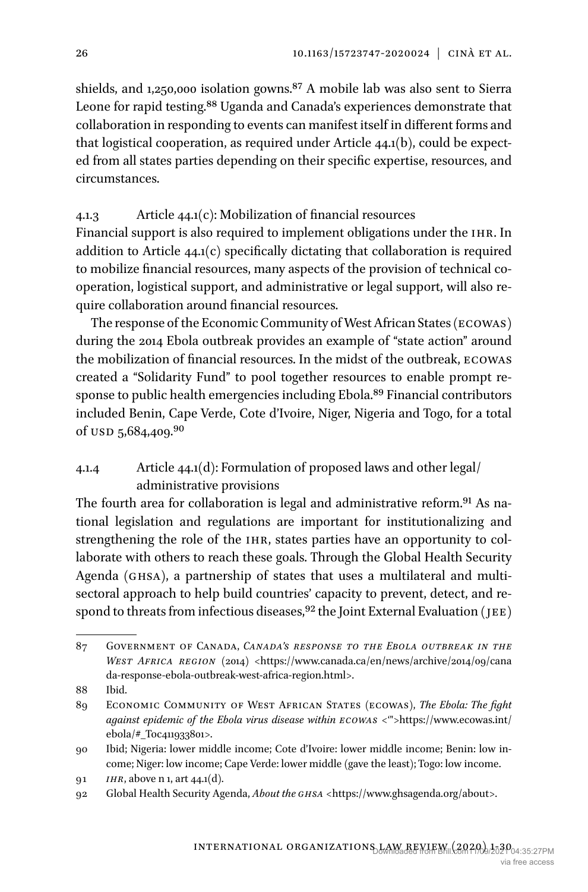shields, and 1,250,000 isolation gowns.[87](#page-25-0) A mobile lab was also sent to Sierra Leone for rapid testing.<sup>88</sup> Uganda and Canada's experiences demonstrate that collaboration in responding to events can manifest itself in different forms and that logistical cooperation, as required under Article 44.1(b), could be expected from all states parties depending on their specific expertise, resources, and circumstances.

## 4.1.3 Article 44.1(c): Mobilization of financial resources

Financial support is also required to implement obligations under the ihr. In addition to Article 44.1(c) specifically dictating that collaboration is required to mobilize financial resources, many aspects of the provision of technical cooperation, logistical support, and administrative or legal support, will also require collaboration around financial resources.

The response of the Economic Community of West African States (ecowas) during the 2014 Ebola outbreak provides an example of "state action" around the mobilization of financial resources. In the midst of the outbreak, ecowas created a "Solidarity Fund" to pool together resources to enable prompt response to public health emergencies including Ebola[.89](#page-25-2) Financial contributors included Benin, Cape Verde, Cote d'Ivoire, Niger, Nigeria and Togo, for a total of USD 5,684,409.[90](#page-25-3)

# 4.1.4 Article 44.1(d): Formulation of proposed laws and other legal/ administrative provisions

The fourth area for collaboration is legal and administrative reform.<sup>91</sup> As national legislation and regulations are important for institutionalizing and strengthening the role of the IHR, states parties have an opportunity to collaborate with others to reach these goals. Through the Global Health Security Agenda (ghsa), a partnership of states that uses a multilateral and multisectoral approach to help build countries' capacity to prevent, detect, and respond to threats from infectious diseases,  $92$  the Joint External Evaluation (JEE)

<span id="page-25-0"></span><sup>87</sup> Government of Canada, *Canada's response to the Ebola outbreak in the WEST AFRICA REGION* (2014) <[https://www.canada.ca/en/news/archive/2014/09/cana](https://www.canada.ca/en/news/archive/2014/09/canada-response-ebola-outbreak-west-africa-region.html%3e) [da-response-ebola-outbreak-west-africa-region.html>](https://www.canada.ca/en/news/archive/2014/09/canada-response-ebola-outbreak-west-africa-region.html%3e).

<span id="page-25-1"></span><sup>88</sup> Ibid.

<span id="page-25-2"></span><sup>89</sup> Economic Community of West African States (ecowas), *The Ebola: The fight against epidemic of the Ebola virus disease within ecowas* <['">https://www.ecowas.int/](https://www.ecowas.int/ebola/#_Toc411933801<!--GreaterThan-) [ebola/#\\_Toc411933801>](https://www.ecowas.int/ebola/#_Toc411933801<!--GreaterThan-).

<span id="page-25-3"></span><sup>90</sup> Ibid; Nigeria: lower middle income; Cote d'Ivoire: lower middle income; Benin: low income; Niger: low income; Cape Verde: lower middle (gave the least); Togo: low income.

<span id="page-25-4"></span><sup>91</sup> *ihr*, above n 1, art 44.1(d).

<span id="page-25-5"></span><sup>92</sup> Global Health Security Agenda, *About the ghsa* [<https://www.ghsagenda.org/about>](https://www.ghsagenda.org/about%3e).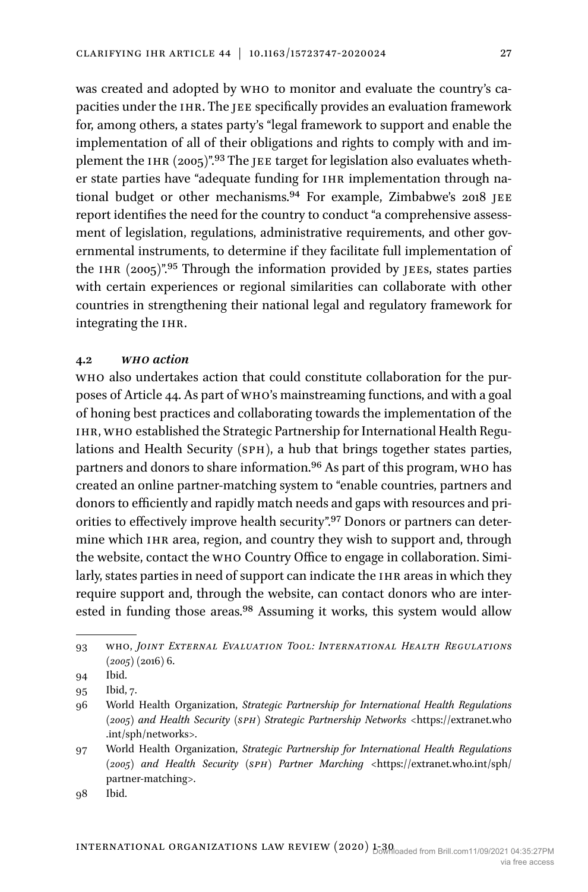was created and adopted by who to monitor and evaluate the country's capacities under the IHR. The JEE specifically provides an evaluation framework for, among others, a states party's "legal framework to support and enable the implementation of all of their obligations and rights to comply with and implement the IHR (2005)".<sup>93</sup> The JEE target for legislation also evaluates whether state parties have "adequate funding for IHR implementation through national budget or other mechanisms.<sup>94</sup> For example, Zimbabwe's 2018 JEE report identifies the need for the country to conduct "a comprehensive assessment of legislation, regulations, administrative requirements, and other governmental instruments, to determine if they facilitate full implementation of the IHR  $(2005)$ ".<sup>95</sup> Through the information provided by JEEs, states parties with certain experiences or regional similarities can collaborate with other countries in strengthening their national legal and regulatory framework for integrating the ihr.

## **4.2** *who action*

who also undertakes action that could constitute collaboration for the purposes of Article 44. As part of who's mainstreaming functions, and with a goal of honing best practices and collaborating towards the implementation of the ihr, who established the Strategic Partnership for International Health Regulations and Health Security (SPH), a hub that brings together states parties, partners and donors to share information.[96](#page-26-3) As part of this program, who has created an online partner-matching system to "enable countries, partners and donors to efficiently and rapidly match needs and gaps with resources and priorities to effectively improve health security".<sup>97</sup> Donors or partners can determine which IHR area, region, and country they wish to support and, through the website, contact the who Country Office to engage in collaboration. Similarly, states parties in need of support can indicate the IHR areas in which they require support and, through the website, can contact donors who are interested in funding those areas.<sup>98</sup> Assuming it works, this system would allow

<span id="page-26-5"></span>98 Ibid.

<span id="page-26-0"></span><sup>93</sup> who, *Joint External Evaluation Tool: International Health Regulations (2005)* (2016) 6.

<span id="page-26-1"></span><sup>94</sup> [Ibid](https://apps.who.int/iris/bitstream/handle/10665/204368/9789241510172_eng.pdf?sequence=1).

<span id="page-26-2"></span><sup>95</sup> Ibid, 7.

<span id="page-26-3"></span><sup>96</sup> World Health Organization, *Strategic Partnership for International Health Regulations (2005) and Health Security (sph) Strategic Partnership Networks* <[https://extranet.who](https://extranet.who.int/sph/networks%3e) [.int/sph/networks>.](https://extranet.who.int/sph/networks%3e)

<span id="page-26-4"></span><sup>97</sup> World Health Organization, *Strategic Partnership for International Health Regulations (2005) and Health Security (sph) Partner Marching* <[https://extranet.who.int/sph/](https://extranet.who.int/sph/partner-matching%3e) [partner-matching>.](https://extranet.who.int/sph/partner-matching%3e)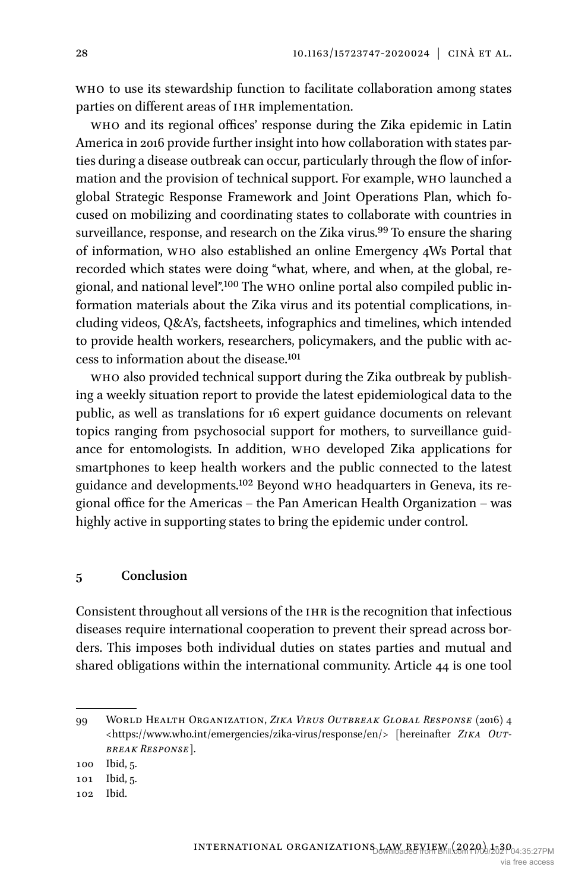who to use its stewardship function to facilitate collaboration among states parties on different areas of IHR implementation.

who and its regional offices' response during the Zika epidemic in Latin America in 2016 provide further insight into how collaboration with states parties during a disease outbreak can occur, particularly through the flow of information and the provision of technical support. For example, who launched a global Strategic Response Framework and Joint Operations Plan, which focused on mobilizing and coordinating states to collaborate with countries in surveillance, response, and research on the Zika virus.<sup>99</sup> To ensure the sharing of information, who also established an online Emergency 4Ws Portal that recorded which states were doing "what, where, and when, at the global, regional, and national level"[.100](#page-27-1) The who online portal also compiled public information materials about the Zika virus and its potential complications, including videos, Q&A's, factsheets, infographics and timelines, which intended to provide health workers, researchers, policymakers, and the public with access to information about the disease[.101](#page-27-2)

who also provided technical support during the Zika outbreak by publishing a weekly situation report to provide the latest epidemiological data to the public, as well as translations for 16 expert guidance documents on relevant topics ranging from psychosocial support for mothers, to surveillance guidance for entomologists. In addition, who developed Zika applications for smartphones to keep health workers and the public connected to the latest guidance and developments.[102](#page-27-3) Beyond who headquarters in Geneva, its regional office for the Americas – the Pan American Health Organization – was highly active in supporting states to bring the epidemic under control.

## **5 Conclusion**

Consistent throughout all versions of the IHR is the recognition that infectious diseases require international cooperation to prevent their spread across borders. This imposes both individual duties on states parties and mutual and shared obligations within the international community. Article 44 is one tool

<span id="page-27-0"></span><sup>99</sup> World Health Organization, *Zika Virus Outbreak Global Response* (2016) 4 <[https://www.who.int/emergencies/zika-virus/response/en/>](https://www.who.int/emergencies/zika-virus/response/en/%3e) [hereinafter *Zika Outbreak Response*].

<span id="page-27-1"></span><sup>100</sup> Ibid, 5.

<span id="page-27-2"></span><sup>101</sup> Ibid, 5.

<span id="page-27-3"></span><sup>102</sup> Ibid.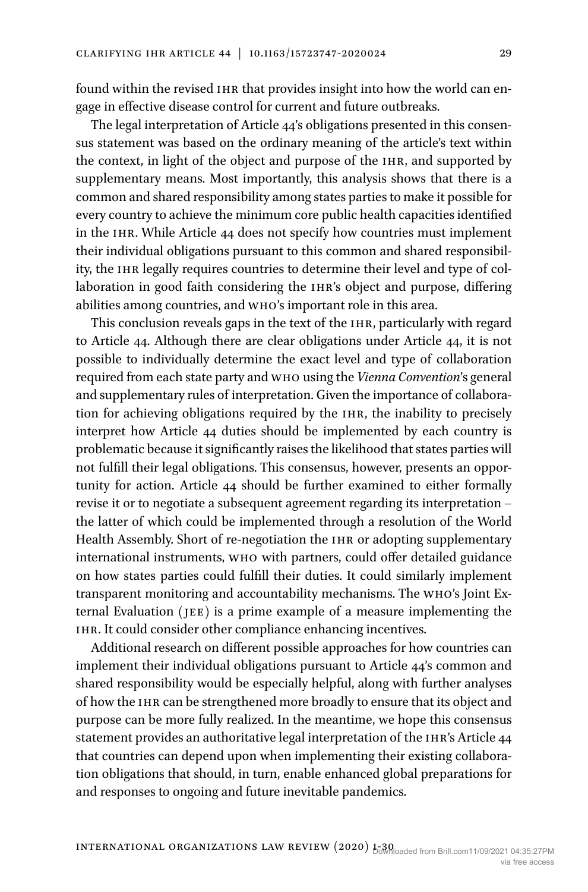found within the revised IHR that provides insight into how the world can engage in effective disease control for current and future outbreaks.

The legal interpretation of Article 44's obligations presented in this consensus statement was based on the ordinary meaning of the article's text within the context, in light of the object and purpose of the IHR, and supported by supplementary means. Most importantly, this analysis shows that there is a common and shared responsibility among states parties to make it possible for every country to achieve the minimum core public health capacities identified in the ihr. While Article 44 does not specify how countries must implement their individual obligations pursuant to this common and shared responsibility, the IHR legally requires countries to determine their level and type of collaboration in good faith considering the IHR's object and purpose, differing abilities among countries, and who's important role in this area.

This conclusion reveals gaps in the text of the IHR, particularly with regard to Article 44. Although there are clear obligations under Article 44, it is not possible to individually determine the exact level and type of collaboration required from each state party and who using the *Vienna Convention*'s general and supplementary rules of interpretation. Given the importance of collaboration for achieving obligations required by the IHR, the inability to precisely interpret how Article 44 duties should be implemented by each country is problematic because it significantly raises the likelihood that states parties will not fulfill their legal obligations. This consensus, however, presents an opportunity for action. Article 44 should be further examined to either formally revise it or to negotiate a subsequent agreement regarding its interpretation – the latter of which could be implemented through a resolution of the World Health Assembly. Short of re-negotiation the IHR or adopting supplementary international instruments, who with partners, could offer detailed guidance on how states parties could fulfill their duties. It could similarly implement transparent monitoring and accountability mechanisms. The who's Joint External Evaluation (jee) is a prime example of a measure implementing the ihr. It could consider other compliance enhancing incentives.

Additional research on different possible approaches for how countries can implement their individual obligations pursuant to Article 44's common and shared responsibility would be especially helpful, along with further analyses of how the ihr can be strengthened more broadly to ensure that its object and purpose can be more fully realized. In the meantime, we hope this consensus statement provides an authoritative legal interpretation of the IHR's Article 44 that countries can depend upon when implementing their existing collaboration obligations that should, in turn, enable enhanced global preparations for and responses to ongoing and future inevitable pandemics.